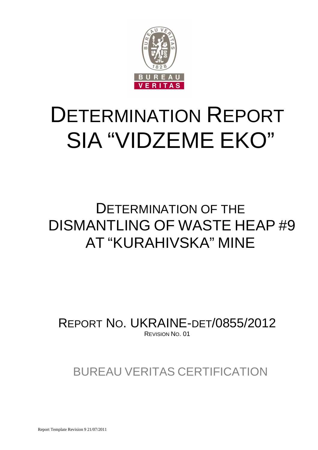

# DETERMINATION REPORT SIA "VIDZEME EKO"

## DETERMINATION OF THE DISMANTLING OF WASTE HEAP #9 AT "KURAHIVSKA" MINE

REPORT NO. UKRAINE-DET/0855/2012 REVISION NO. 01

BUREAU VERITAS CERTIFICATION

Report Template Revision 9 21/07/2011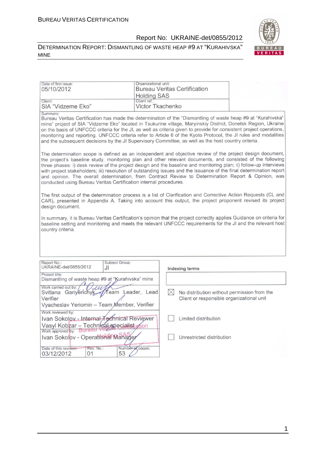#### DETERMINATION REPORT: DISMANTLING OF WASTE HEAP #9 AT "KURAHIVSKA" MINE



| Date of first issue:                                                                                                                                                                                                                                                                                                                                                                                                                                                                                                                                                                                                                                                                                                                                                                                                                                                                                                                                                                                                                                                                                                                                                                                                                                                                                                                                                                                                                                                          | Organizational unit:                                                                                                                                                                                                                |             |                                                                                          |  |  |
|-------------------------------------------------------------------------------------------------------------------------------------------------------------------------------------------------------------------------------------------------------------------------------------------------------------------------------------------------------------------------------------------------------------------------------------------------------------------------------------------------------------------------------------------------------------------------------------------------------------------------------------------------------------------------------------------------------------------------------------------------------------------------------------------------------------------------------------------------------------------------------------------------------------------------------------------------------------------------------------------------------------------------------------------------------------------------------------------------------------------------------------------------------------------------------------------------------------------------------------------------------------------------------------------------------------------------------------------------------------------------------------------------------------------------------------------------------------------------------|-------------------------------------------------------------------------------------------------------------------------------------------------------------------------------------------------------------------------------------|-------------|------------------------------------------------------------------------------------------|--|--|
| 05/10/2012                                                                                                                                                                                                                                                                                                                                                                                                                                                                                                                                                                                                                                                                                                                                                                                                                                                                                                                                                                                                                                                                                                                                                                                                                                                                                                                                                                                                                                                                    |                                                                                                                                                                                                                                     |             | <b>Bureau Veritas Certification</b>                                                      |  |  |
|                                                                                                                                                                                                                                                                                                                                                                                                                                                                                                                                                                                                                                                                                                                                                                                                                                                                                                                                                                                                                                                                                                                                                                                                                                                                                                                                                                                                                                                                               | <b>Holding SAS</b>                                                                                                                                                                                                                  |             |                                                                                          |  |  |
| Client:                                                                                                                                                                                                                                                                                                                                                                                                                                                                                                                                                                                                                                                                                                                                                                                                                                                                                                                                                                                                                                                                                                                                                                                                                                                                                                                                                                                                                                                                       | Client ref.:                                                                                                                                                                                                                        |             |                                                                                          |  |  |
| SIA "Vidzeme Eko"                                                                                                                                                                                                                                                                                                                                                                                                                                                                                                                                                                                                                                                                                                                                                                                                                                                                                                                                                                                                                                                                                                                                                                                                                                                                                                                                                                                                                                                             | Victor Tkachenko                                                                                                                                                                                                                    |             |                                                                                          |  |  |
| Summary:<br>Bureau Veritas Certification has made the determination of the "Dismantling of waste heap #9 at "Kurahivska"<br>mine" project of SIA "Vidzeme Eko" located in Tsukurine village, Maryinskiy District, Donetsk Region, Ukraine<br>on the basis of UNFCCC criteria for the JI, as well as criteria given to provide for consistent project operations,<br>monitoring and reporting. UNFCCC criteria refer to Article 6 of the Kyoto Protocol, the JI rules and modalities<br>and the subsequent decisions by the JI Supervisory Committee, as well as the host country criteria.<br>The determination scope is defined as an independent and objective review of the project design document,<br>the project's baseline study, monitoring plan and other relevant documents, and consisted of the following<br>three phases: i) desk review of the project design and the baseline and monitoring plan; ii) follow-up interviews<br>with project stakeholders; iii) resolution of outstanding issues and the issuance of the final determination report<br>and opinion. The overall determination, from Contract Review to Determination Report & Opinion, was<br>conducted using Bureau Veritas Certification internal procedures.<br>The first output of the determination process is a list of Clarification and Corrective Action Requests (CL and<br>CAR), presented in Appendix A. Taking into account this output, the project proponent revised its project |                                                                                                                                                                                                                                     |             |                                                                                          |  |  |
| design document.<br>country criteria.                                                                                                                                                                                                                                                                                                                                                                                                                                                                                                                                                                                                                                                                                                                                                                                                                                                                                                                                                                                                                                                                                                                                                                                                                                                                                                                                                                                                                                         | In summary, it is Bureau Veritas Certification's opinion that the project correctly applies Guidance on criteria for<br>baseline setting and monitoring and meets the relevant UNFCCC requirements for the JI and the relevant host |             |                                                                                          |  |  |
|                                                                                                                                                                                                                                                                                                                                                                                                                                                                                                                                                                                                                                                                                                                                                                                                                                                                                                                                                                                                                                                                                                                                                                                                                                                                                                                                                                                                                                                                               |                                                                                                                                                                                                                                     |             |                                                                                          |  |  |
| Subject Group:<br>Report No.:                                                                                                                                                                                                                                                                                                                                                                                                                                                                                                                                                                                                                                                                                                                                                                                                                                                                                                                                                                                                                                                                                                                                                                                                                                                                                                                                                                                                                                                 |                                                                                                                                                                                                                                     |             |                                                                                          |  |  |
| UKRAINE-det/0855/2012<br>JI                                                                                                                                                                                                                                                                                                                                                                                                                                                                                                                                                                                                                                                                                                                                                                                                                                                                                                                                                                                                                                                                                                                                                                                                                                                                                                                                                                                                                                                   |                                                                                                                                                                                                                                     |             | Indexing terms                                                                           |  |  |
| Project title:<br>Dismantling of waste heap #9 at "Kurahivska" mine                                                                                                                                                                                                                                                                                                                                                                                                                                                                                                                                                                                                                                                                                                                                                                                                                                                                                                                                                                                                                                                                                                                                                                                                                                                                                                                                                                                                           |                                                                                                                                                                                                                                     |             |                                                                                          |  |  |
| Work carried out by:<br>1/uu<br>Svitlana Gariyenchyk<br>Verifier<br>Vyacheslav Yeriomin - Team Member, Verifier                                                                                                                                                                                                                                                                                                                                                                                                                                                                                                                                                                                                                                                                                                                                                                                                                                                                                                                                                                                                                                                                                                                                                                                                                                                                                                                                                               | Team Leader, Lead                                                                                                                                                                                                                   | $\boxtimes$ | No distribution without permission from the<br>Client or responsible organizational unit |  |  |
| Work reviewed by:                                                                                                                                                                                                                                                                                                                                                                                                                                                                                                                                                                                                                                                                                                                                                                                                                                                                                                                                                                                                                                                                                                                                                                                                                                                                                                                                                                                                                                                             |                                                                                                                                                                                                                                     |             |                                                                                          |  |  |
| Ivan Sokolov - Internal Technical Reviewer                                                                                                                                                                                                                                                                                                                                                                                                                                                                                                                                                                                                                                                                                                                                                                                                                                                                                                                                                                                                                                                                                                                                                                                                                                                                                                                                                                                                                                    |                                                                                                                                                                                                                                     |             | Limited distribution                                                                     |  |  |
| Vasyl Kobzar - Technical specialist nion                                                                                                                                                                                                                                                                                                                                                                                                                                                                                                                                                                                                                                                                                                                                                                                                                                                                                                                                                                                                                                                                                                                                                                                                                                                                                                                                                                                                                                      |                                                                                                                                                                                                                                     |             |                                                                                          |  |  |
| Ivan Sokolov - Operational Manager                                                                                                                                                                                                                                                                                                                                                                                                                                                                                                                                                                                                                                                                                                                                                                                                                                                                                                                                                                                                                                                                                                                                                                                                                                                                                                                                                                                                                                            |                                                                                                                                                                                                                                     |             | Unrestricted distribution                                                                |  |  |
| Date of this revision:<br>Rev. No.:                                                                                                                                                                                                                                                                                                                                                                                                                                                                                                                                                                                                                                                                                                                                                                                                                                                                                                                                                                                                                                                                                                                                                                                                                                                                                                                                                                                                                                           | Number of pages:                                                                                                                                                                                                                    |             |                                                                                          |  |  |
| 53<br>03/12/2012<br>01                                                                                                                                                                                                                                                                                                                                                                                                                                                                                                                                                                                                                                                                                                                                                                                                                                                                                                                                                                                                                                                                                                                                                                                                                                                                                                                                                                                                                                                        |                                                                                                                                                                                                                                     |             |                                                                                          |  |  |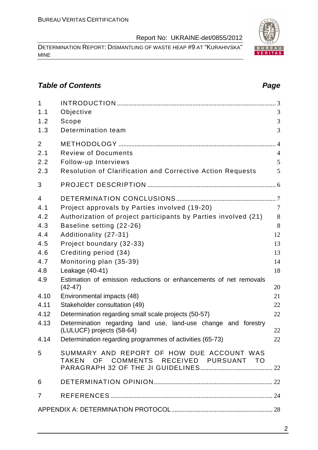DETERMINATION REPORT: DISMANTLING OF WASTE HEAP #9 AT "KURAHIVSKA" MINE

#### **Table of Contents Page 2014**

| $\mathbf{1}$   |                                                                                     |                |
|----------------|-------------------------------------------------------------------------------------|----------------|
| 1.1            | Objective                                                                           | 3              |
| 1.2            | Scope                                                                               | 3              |
| 1.3            | Determination team                                                                  | 3              |
| $\overline{2}$ |                                                                                     |                |
| 2.1            | <b>Review of Documents</b>                                                          | $\overline{4}$ |
| 2.2            | Follow-up Interviews                                                                | 5              |
| 2.3            | Resolution of Clarification and Corrective Action Requests                          | 5              |
| 3              |                                                                                     |                |
| $\overline{4}$ |                                                                                     |                |
| 4.1            | Project approvals by Parties involved (19-20)                                       | $\overline{7}$ |
| 4.2            | Authorization of project participants by Parties involved (21)                      | 8              |
| 4.3            | Baseline setting (22-26)                                                            | 8              |
| 4.4            | Additionality (27-31)                                                               | 12             |
| 4.5            | Project boundary (32-33)                                                            | 13             |
| 4.6            | Crediting period (34)                                                               | 13             |
| 4.7            | Monitoring plan (35-39)                                                             | 14             |
| 4.8            | Leakage (40-41)                                                                     | 18             |
| 4.9            | Estimation of emission reductions or enhancements of net removals<br>$(42-47)$      | 20             |
| 4.10           | Environmental impacts (48)                                                          | 21             |
| 4.11           | Stakeholder consultation (49)                                                       | 22             |
| 4.12           | Determination regarding small scale projects (50-57)                                | 22             |
| 4.13           | Determination regarding land use, land-use change and forestry                      |                |
|                | (LULUCF) projects (58-64)                                                           | 22             |
| 4.14           | Determination regarding programmes of activities (65-73)                            | 22             |
| 5              | SUMMARY AND REPORT OF HOW DUE ACCOUNT WAS<br>TAKEN OF COMMENTS RECEIVED PURSUANT TO |                |
|                |                                                                                     |                |
| 6              |                                                                                     |                |
| $\overline{7}$ |                                                                                     |                |
|                |                                                                                     |                |

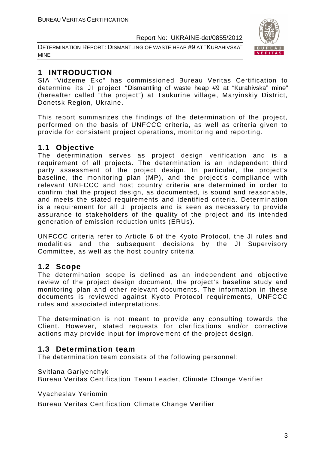DETERMINATION REPORT: DISMANTLING OF WASTE HEAP #9 AT "KURAHIVSKA" MINE



### **1 INTRODUCTION**

SIA "Vidzeme Eko" has commissioned Bureau Veritas Certification to determine its JI project "Dismantling of waste heap #9 at "Kurahivska" mine" (hereafter called "the project") at Tsukurine village, Maryinskiy District, Donetsk Region, Ukraine.

This report summarizes the findings of the determination of the project, performed on the basis of UNFCCC criteria, as well as criteria given to provide for consistent project operations, monitoring and reporting.

#### **1.1 Objective**

The determination serves as project design verification and is a requirement of all projects. The determination is an independent third party assessment of the project design. In particular, the project's baseline, the monitoring plan (MP), and the project's compliance with relevant UNFCCC and host country criteria are determined in order to confirm that the project design, as documented, is sound and reasonable, and meets the stated requirements and identified criteria. Determination is a requirement for all JI projects and is seen as necessary to provide assurance to stakeholders of the quality of the project and its intended generation of emission reduction units (ERUs).

UNFCCC criteria refer to Article 6 of the Kyoto Protocol, the JI rules and modalities and the subsequent decisions by the JI Supervisory Committee, as well as the host country criteria.

#### **1.2 Scope**

The determination scope is defined as an independent and objective review of the project design document, the project's baseline study and monitoring plan and other relevant documents. The information in these documents is reviewed against Kyoto Protocol requirements, UNFCCC rules and associated interpretations.

The determination is not meant to provide any consulting towards the Client. However, stated requests for clarifications and/or corrective actions may provide input for improvement of the project design.

#### **1.3 Determination team**

The determination team consists of the following personnel:

Svitlana Gariyenchyk

Bureau Veritas Certification Team Leader, Climate Change Verifier

Vyacheslav Yeriomin

Bureau Veritas Certification Climate Change Verifier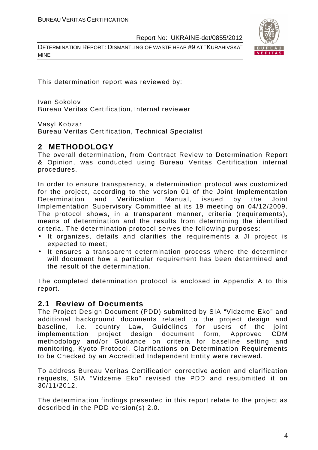DETERMINATION REPORT: DISMANTLING OF WASTE HEAP #9 AT "KURAHIVSKA" MINE



This determination report was reviewed by:

Ivan Sokolov Bureau Veritas Certification, Internal reviewer

Vasyl Kobzar

Bureau Veritas Certification, Technical Specialist

#### **2 METHODOLOGY**

The overall determination, from Contract Review to Determination Report & Opinion, was conducted using Bureau Veritas Certification internal procedures.

In order to ensure transparency, a determination protocol was customized for the project, according to the version 01 of the Joint Implementation Determination and Verification Manual, issued by the Joint Implementation Supervisory Committee at its 19 meeting on 04/12/2009. The protocol shows, in a transparent manner, criteria (requirements), means of determination and the results from determining the identified criteria. The determination protocol serves the following purposes:

- It organizes, details and clarifies the requirements a JI project is expected to meet;
- It ensures a transparent determination process where the determiner will document how a particular requirement has been determined and the result of the determination.

The completed determination protocol is enclosed in Appendix A to this report.

#### **2.1 Review of Documents**

The Project Design Document (PDD) submitted by SIA "Vidzeme Eko" and additional background documents related to the project design and baseline, i.e. country Law, Guidelines for users of the joint implementation project design document form, Approved CDM methodology and/or Guidance on criteria for baseline setting and monitoring, Kyoto Protocol, Clarifications on Determination Requirements to be Checked by an Accredited Independent Entity were reviewed.

To address Bureau Veritas Certification corrective action and clarification requests, SIA "Vidzeme Eko" revised the PDD and resubmitted it on 30/11/2012.

The determination findings presented in this report relate to the project as described in the PDD version(s) 2.0.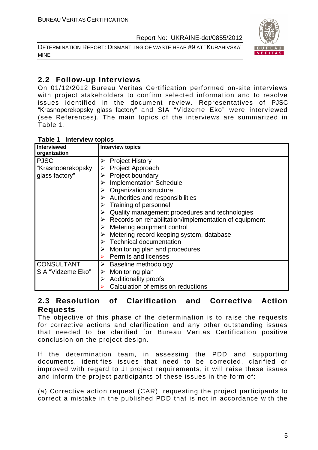DETERMINATION REPORT: DISMANTLING OF WASTE HEAP #9 AT "KURAHIVSKA" MINE



#### **2.2 Follow-up Interviews**

On 01/12/2012 Bureau Veritas Certification performed on-site interviews with project stakeholders to confirm selected information and to resolve issues identified in the document review. Representatives of PJSC "Krasnoperekopsky glass factory" and SIA "Vidzeme Eko" were interviewed (see References). The main topics of the interviews are summarized in Table 1.

| <b>Interview topics</b><br>Table 1 |  |
|------------------------------------|--|
|------------------------------------|--|

| <b>Interviewed</b><br>organization | <b>Interview topics</b>                                                |
|------------------------------------|------------------------------------------------------------------------|
| <b>PJSC</b>                        | <b>Project History</b><br>➤                                            |
| "Krasnoperekopsky                  | <b>Project Approach</b>                                                |
| glass factory"                     | Project boundary                                                       |
|                                    | <b>Implementation Schedule</b>                                         |
|                                    | <b>Organization structure</b>                                          |
|                                    | $\triangleright$ Authorities and responsibilities                      |
|                                    | Training of personnel                                                  |
|                                    | Quality management procedures and technologies                         |
|                                    | $\triangleright$ Records on rehabilitation/implementation of equipment |
|                                    | $\triangleright$ Metering equipment control                            |
|                                    | Metering record keeping system, database                               |
|                                    | $\triangleright$ Technical documentation                               |
|                                    | Monitoring plan and procedures                                         |
|                                    | <b>Permits and licenses</b>                                            |
| <b>CONSULTANT</b>                  | Baseline methodology                                                   |
| SIA "Vidzeme Eko"                  | Monitoring plan<br>➤                                                   |
|                                    | <b>Additionality proofs</b><br>➤                                       |
|                                    | Calculation of emission reductions                                     |

#### **2.3 Resolution of Clarification and Corrective Action Requests**

The objective of this phase of the determination is to raise the requests for corrective actions and clarification and any other outstanding issues that needed to be clarified for Bureau Veritas Certification positive conclusion on the project design.

If the determination team, in assessing the PDD and supporting documents, identifies issues that need to be corrected, clarified or improved with regard to JI project requirements, it will raise these issues and inform the project participants of these issues in the form of:

(a) Corrective action request (CAR), requesting the project participants to correct a mistake in the published PDD that is not in accordance with the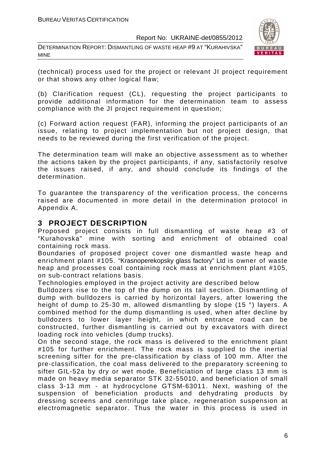DETERMINATION REPORT: DISMANTLING OF WASTE HEAP #9 AT "KURAHIVSKA" MINE



(technical) process used for the project or relevant JI project requirement or that shows any other logical flaw;

(b) Clarification request (CL), requesting the project participants to provide additional information for the determination team to assess compliance with the JI project requirement in question;

(c) Forward action request (FAR), informing the project participants of an issue, relating to project implementation but not project design, that needs to be reviewed during the first verification of the project.

The determination team will make an objective assessment as to whether the actions taken by the project participants, if any, satisfactorily resolve the issues raised, if any, and should conclude its findings of the determination.

To guarantee the transparency of the verification process, the concerns raised are documented in more detail in the determination protocol in Appendix A.

#### **3 PROJECT DESCRIPTION**

Proposed project consists in full dismantling of waste heap #3 of "Kurahovska" mine with sorting and enrichment of obtained coal containing rock mass.

Boundaries of proposed project cover one dismantled waste heap and enrichment plant #105. "Krasnoperekopsky glass factory" Ltd is owner of waste heap and processes coal containing rock mass at enrichment plant #105, on sub-contract relations basis.

Technologies employed in the project activity are described below

Bulldozers rise to the top of the dump on its tail section. Dismantling of dump with bulldozers is carried by horizontal layers, after lowering the height of dump to 25-30 m, allowed dismantling by slope (15 °) layers. A combined method for the dump dismantling is used, when after decline by bulldozers to lower layer height, in which entrance road can be constructed, further dismantling is carried out by excavators with direct loading rock into vehicles (dump trucks).

On the second stage, the rock mass is delivered to the enrichment plant #105 for further enrichment. The rock mass is supplied to the inertial screening sifter for the pre-classification by class of 100 mm. After the pre-classification, the coal mass delivered to the preparatory screening to sifter GIL-52a by dry or wet mode. Beneficiation of large class 13 mm is made on heavy media separator STK 32-55010, and beneficiation of small class 3-13 mm - at hydrocyclone GTSM-63011. Next, washing of the suspension of beneficiation products and dehydrating products by dressing screens and centrifuge take place, regeneration suspension at electromagnetic separator. Thus the water in this process is used in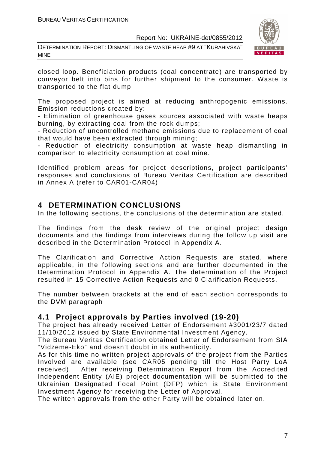DETERMINATION REPORT: DISMANTLING OF WASTE HEAP #9 AT "KURAHIVSKA" MINE



closed loop. Beneficiation products (coal concentrate) are transported by conveyor belt into bins for further shipment to the consumer. Waste is transported to the flat dump

The proposed project is aimed at reducing anthropogenic emissions. Emission reductions created by:

- Elimination of greenhouse gases sources associated with waste heaps burning, by extracting coal from the rock dumps;

- Reduction of uncontrolled methane emissions due to replacement of coal that would have been extracted through mining;

- Reduction of electricity consumption at waste heap dismantling in comparison to electricity consumption at coal mine.

Identified problem areas for project descriptions, project participants' responses and conclusions of Bureau Veritas Certification are described in Annex A (refer to CAR01-CAR04)

#### **4 DETERMINATION CONCLUSIONS**

In the following sections, the conclusions of the determination are stated.

The findings from the desk review of the original project design documents and the findings from interviews during the follow up visit are described in the Determination Protocol in Appendix A.

The Clarification and Corrective Action Requests are stated, where applicable, in the following sections and are further documented in the Determination Protocol in Appendix A. The determination of the Project resulted in 15 Corrective Action Requests and 0 Clarification Requests.

The number between brackets at the end of each section corresponds to the DVM paragraph

#### **4.1 Project approvals by Parties involved (19-20)**

The project has already received Letter of Endorsement #3001/23/7 dated 11/10/2012 issued by State Environmental Investment Agency.

The Bureau Veritas Certification obtained Letter of Endorsement from SIA "Vidzeme-Eko" and doesn't doubt in its authenticity.

As for this time no written project approvals of the project from the Parties Involved are available (see CAR05 pending till the Host Party LoA received). After receiving Determination Report from the Accredited Independent Entity (AIE) project documentation will be submitted to the Ukrainian Designated Focal Point (DFP) which is State Environment Investment Agency for receiving the Letter of Approval.

The written approvals from the other Party will be obtained later on.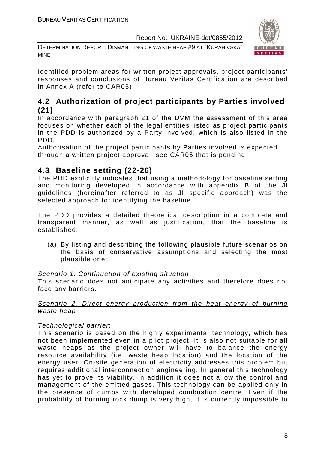DETERMINATION REPORT: DISMANTLING OF WASTE HEAP #9 AT "KURAHIVSKA" MINE



Identified problem areas for written project approvals, project participants' responses and conclusions of Bureau Veritas Certification are described in Annex A (refer to CAR05).

#### **4.2 Authorization of project participants by Parties involved (21)**

In accordance with paragraph 21 of the DVM the assessment of this area focuses on whether each of the legal entities listed as project participants in the PDD is authorized by a Party involved, which is also listed in the PDD.

Authorisation of the project participants by Parties involved is expected through a written project approval, see CAR05 that is pending

#### **4.3 Baseline setting (22-26)**

The PDD explicitly indicates that using a methodology for baseline setting and monitoring developed in accordance with appendix B of the JI guidelines (hereinafter referred to as JI specific approach) was the selected approach for identifying the baseline.

The PDD provides a detailed theoretical description in a complete and transparent manner, as well as justification, that the baseline is established:

(a) By listing and describing the following plausible future scenarios on the basis of conservative assumptions and selecting the most plausible one:

#### Scenario 1. Continuation of existing situation

This scenario does not anticipate any activities and therefore does not face any barriers.

#### Scenario 2. Direct energy production from the heat energy of burning waste heap

#### Technological barrier:

This scenario is based on the highly experimental technology, which has not been implemented even in a pilot project. It is also not suitable for all waste heaps as the project owner will have to balance the energy resource availability (i.e. waste heap location) and the location of the energy user. On-site generation of electricity addresses this problem but requires additional interconnection engineering. In general this technology has yet to prove its viability. In addition it does not allow the control and management of the emitted gases. This technology can be applied only in the presence of dumps with developed combustion centre. Even if the probability of burning rock dump is very high, it is currently impossible to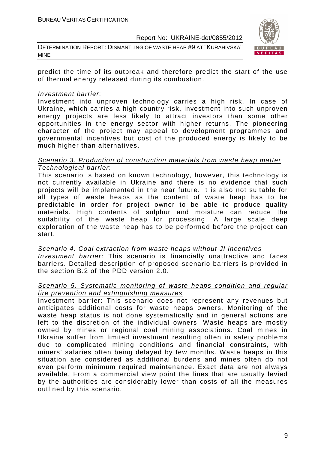DETERMINATION REPORT: DISMANTLING OF WASTE HEAP #9 AT "KURAHIVSKA" MINE



predict the time of its outbreak and therefore predict the start of the use of thermal energy released during its combustion.

#### Investment barrier:

Investment into unproven technology carries a high risk. In case of Ukraine, which carries a high country risk, investment into such unproven energy projects are less likely to attract investors than some other opportunities in the energy sector with higher returns. The pioneering character of the project may appeal to development programmes and governmental incentives but cost of the produced energy is likely to be much higher than alternatives.

#### Scenario 3. Production of construction materials from waste heap matter Technological barrier:

This scenario is based on known technology, however, this technology is not currently available in Ukraine and there is no evidence that such projects will be implemented in the near future. It is also not suitable for all types of waste heaps as the content of waste heap has to be predictable in order for project owner to be able to produce quality materials. High contents of sulphur and moisture can reduce the suitability of the waste heap for processing. A large scale deep exploration of the waste heap has to be performed before the project can start.

Scenario 4. Coal extraction from waste heaps without JI incentives Investment barrier: This scenario is financially unattractive and faces barriers. Detailed description of proposed scenario barriers is provided in the section B.2 of the PDD version 2.0.

#### Scenario 5. Systematic monitoring of waste heaps condition and regular fire prevention and extinguishing measures

Investment barrier: This scenario does not represent any revenues but anticipates additional costs for waste heaps owners. Monitoring of the waste heap status is not done systematically and in general actions are left to the discretion of the individual owners. Waste heaps are mostly owned by mines or regional coal mining associations. Coal mines in Ukraine suffer from limited investment resulting often in safety problems due to complicated mining conditions and financial constraints, with miners' salaries often being delayed by few months. Waste heaps in this situation are considered as additional burdens and mines often do not even perform minimum required maintenance. Exact data are not always available. From a commercial view point the fines that are usually levied by the authorities are considerably lower than costs of all the measures outlined by this scenario.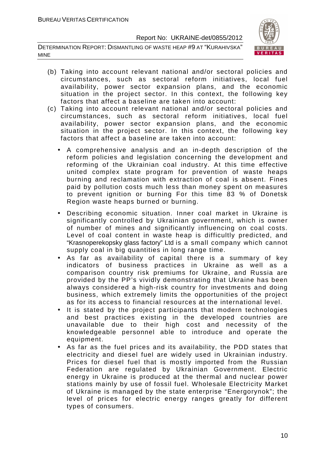DETERMINATION REPORT: DISMANTLING OF WASTE HEAP #9 AT "KURAHIVSKA" MINE



- (b) Taking into account relevant national and/or sectoral policies and circumstances, such as sectoral reform initiatives, local fuel availability, power sector expansion plans, and the economic situation in the project sector. In this context, the following key factors that affect a baseline are taken into account:
- (c) Taking into account relevant national and/or sectoral policies and circumstances, such as sectoral reform initiatives, local fuel availability, power sector expansion plans, and the economic situation in the project sector. In this context, the following key factors that affect a baseline are taken into account:
	- A comprehensive analysis and an in-depth description of the reform policies and legislation concerning the development and reforming of the Ukrainian coal industry. At this time effective united complex state program for prevention of waste heaps burning and reclamation with extraction of coal is absent. Fines paid by pollution costs much less than money spent on measures to prevent ignition or burning For this time 83 % of Donetsk Region waste heaps burned or burning.
	- Describing economic situation. Inner coal market in Ukraine is significantly controlled by Ukrainian government, which is owner of number of mines and significantly influencing on coal costs. Level of coal content in waste heap is difficultly predicted, and "Krasnoperekopsky glass factory" Ltd is a small company which cannot supply coal in big quantities in long range time.
	- As far as availability of capital there is a summary of key indicators of business practices in Ukraine as well as a comparison country risk premiums for Ukraine, and Russia are provided by the PP's vividly demonstrating that Ukraine has been always considered a high-risk country for investments and doing business, which extremely limits the opportunities of the project as for its access to financial resources at the international level.
	- It is stated by the project participants that modern technologies and best practices existing in the developed countries are unavailable due to their high cost and necessity of the knowledgeable personnel able to introduce and operate the equipment.
	- As far as the fuel prices and its availability, the PDD states that electricity and diesel fuel are widely used in Ukrainian industry. Prices for diesel fuel that is mostly imported from the Russian Federation are regulated by Ukrainian Government. Electric energy in Ukraine is produced at the thermal and nuclear power stations mainly by use of fossil fuel. Wholesale Electricity Market of Ukraine is managed by the state enterprise "Energorynok"; the level of prices for electric energy ranges greatly for different types of consumers.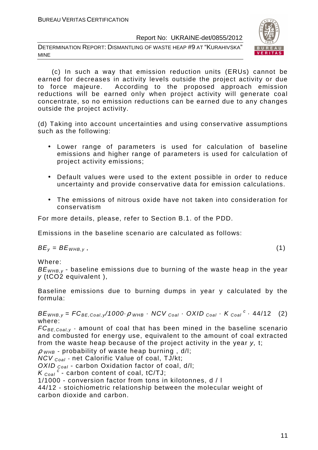DETERMINATION REPORT: DISMANTLING OF WASTE HEAP #9 AT "KURAHIVSKA" MINE



 (c) In such a way that emission reduction units (ERUs) cannot be earned for decreases in activity levels outside the project activity or due to force majeure. According to the proposed approach emission reductions will be earned only when project activity will generate coal concentrate, so no emission reductions can be earned due to any changes outside the project activity.

(d) Taking into account uncertainties and using conservative assumptions such as the following:

- Lower range of parameters is used for calculation of baseline emissions and higher range of parameters is used for calculation of project activity emissions;
- Default values were used to the extent possible in order to reduce uncertainty and provide conservative data for emission calculations.
- The emissions of nitrous oxide have not taken into consideration for conservatism

For more details, please, refer to Section B.1. of the PDD.

Emissions in the baseline scenario are calculated as follows:

 $BE_v = BE_{WHB,v}$ , (1)

Where:

 $BE<sub>WHB,V</sub>$  - baseline emissions due to burning of the waste heap in the year y (tCO2 equivalent ),

Baseline emissions due to burning dumps in year y calculated by the formula:

 $BE_{WHB,y} = FC_{BE,Coal,y}/1000 \cdot \rho$  whb  $\cdot$  NCV  $_{Coal} \cdot$  OXID  $_{Coal} \cdot K_{Coal}^c \cdot 44/12$  (2) where:

 $FC_{BE, coal,v}$  - amount of coal that has been mined in the baseline scenario and combusted for energy use, equivalent to the amount of coal extracted from the waste heap because of the project activity in the year y, t;

 $\rho$  <sub>WHB</sub> - probability of waste heap burning, d/l;

 $NCV_{Coal}$  - net Calorific Value of coal, TJ/kt;

OXID  $_{Coal}$  - carbon Oxidation factor of coal, d/l;

 $K_{\text{Coal}}^c$  - carbon content of coal, tC/TJ;

1/1000 - conversion factor from tons in kilotonnes, d / l

44/12 - stoichiometric relationship between the molecular weight of carbon dioxide and carbon.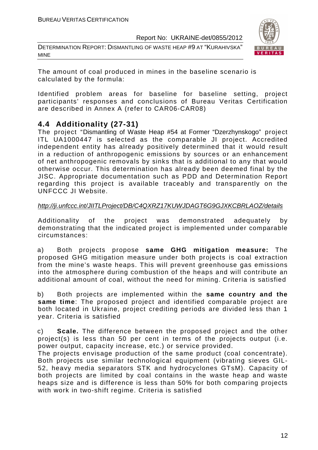DETERMINATION REPORT: DISMANTLING OF WASTE HEAP #9 AT "KURAHIVSKA" MINE



The amount of coal produced in mines in the baseline scenario is calculated by the formula:

Identified problem areas for baseline for baseline setting, project participants' responses and conclusions of Bureau Veritas Certification are described in Annex A (refer to CAR06-CAR08)

#### **4.4 Additionality (27-31)**

The project "Dismantling of Waste Heap #54 at Former "Dzerzhynskogo" project ITL UA1000447 is selected as the comparable JI project. Accredited independent entity has already positively determined that it would result in a reduction of anthropogenic emissions by sources or an enhancement of net anthropogenic removals by sinks that is additional to any that would otherwise occur. This determination has already been deemed final by the JISC. Appropriate documentation such as PDD and Determination Report regarding this project is available traceably and transparently on the UNFCCC JI Website.

#### http://ji.unfccc.int/JIITLProject/DB/C4QXRZ17KUWJDAGT6G9GJXKCBRLAOZ/details

Additionality of the project was demonstrated adequately by demonstrating that the indicated project is implemented under comparable circumstances:

a) Both projects propose **same GHG mitigation measure:** The proposed GHG mitigation measure under both projects is coal extraction from the mine's waste heaps. This will prevent greenhouse gas emissions into the atmosphere during combustion of the heaps and will contribute an additional amount of coal, without the need for mining. Criteria is satisfied

b) Both projects are implemented within the **same country and the same time**: The proposed project and identified comparable project are both located in Ukraine, project crediting periods are divided less than 1 year. Criteria is satisfied

c) **Scale.** The difference between the proposed project and the other project(s) is less than 50 per cent in terms of the projects output (i.e. power output, capacity increase, etc.) or service provided.

The projects envisage production of the same product (coal concentrate). Both projects use similar technological equipment (vibrating sieves GIL-52, heavy media separators STK and hydrocyclones GTsM). Capacity of both projects are limited by coal contains in the waste heap and waste heaps size and is difference is less than 50% for both comparing projects with work in two-shift regime. Criteria is satisfied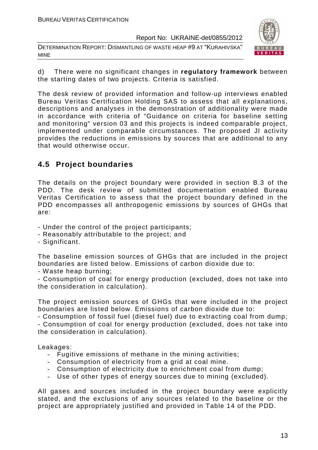DETERMINATION REPORT: DISMANTLING OF WASTE HEAP #9 AT "KURAHIVSKA" MINE



d) There were no significant changes in **regulatory framework** between the starting dates of two projects. Criteria is satisfied.

The desk review of provided information and follow-up interviews enabled Bureau Veritas Certification Holding SAS to assess that all explanations, descriptions and analyses in the demonstration of additionality were made in accordance with criteria of "Guidance on criteria for baseline setting and monitoring" version 03 and this projects is indeed comparable project, implemented under comparable circumstances. The proposed JI activity provides the reductions in emissions by sources that are additional to any that would otherwise occur.

#### **4.5 Project boundaries**

The details on the project boundary were provided in section B.3 of the PDD. The desk review of submitted documentation enabled Bureau Veritas Certification to assess that the project boundary defined in the PDD encompasses all anthropogenic emissions by sources of GHGs that are:

- Under the control of the project participants;
- Reasonably attributable to the project; and
- Significant.

The baseline emission sources of GHGs that are included in the project boundaries are listed below. Emissions of carbon dioxide due to:

- Waste heap burning;

- Consumption of coal for energy production (excluded, does not take into the consideration in calculation).

The project emission sources of GHGs that were included in the project boundaries are listed below. Emissions of carbon dioxide due to:

- Consumption of fossil fuel (diesel fuel) due to extracting coal from dump; - Consumption of coal for energy production (excluded, does not take into the consideration in calculation).

Leakages:

- Fugitive emissions of methane in the mining activities;
- Consumption of electricity from a grid at coal mine.
- Consumption of electricity due to enrichment coal from dump;
- Use of other types of energy sources due to mining (excluded).

All gases and sources included in the project boundary were explicitly stated, and the exclusions of any sources related to the baseline or the project are appropriately justified and provided in Table 14 of the PDD.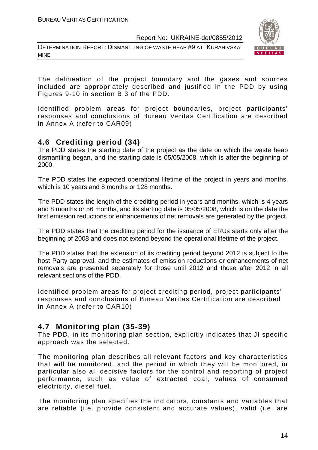DETERMINATION REPORT: DISMANTLING OF WASTE HEAP #9 AT "KURAHIVSKA" MINE



The delineation of the project boundary and the gases and sources included are appropriately described and justified in the PDD by using Figures 9-10 in section B.3 of the PDD.

Identified problem areas for project boundaries, project participants' responses and conclusions of Bureau Veritas Certification are described in Annex A (refer to CAR09)

#### **4.6 Crediting period (34)**

The PDD states the starting date of the project as the date on which the waste heap dismantling began, and the starting date is 05/05/2008, which is after the beginning of 2000.

The PDD states the expected operational lifetime of the project in years and months, which is 10 years and 8 months or 128 months.

The PDD states the length of the crediting period in years and months, which is 4 years and 8 months or 56 months, and its starting date is 05/05/2008, which is on the date the first emission reductions or enhancements of net removals are generated by the project.

The PDD states that the crediting period for the issuance of ERUs starts only after the beginning of 2008 and does not extend beyond the operational lifetime of the project.

The PDD states that the extension of its crediting period beyond 2012 is subject to the host Party approval, and the estimates of emission reductions or enhancements of net removals are presented separately for those until 2012 and those after 2012 in all relevant sections of the PDD.

Identified problem areas for project crediting period, project participants' responses and conclusions of Bureau Veritas Certification are described in Annex A (refer to CAR10)

#### **4.7 Monitoring plan (35-39)**

The PDD, in its monitoring plan section, explicitly indicates that JI specific approach was the selected.

The monitoring plan describes all relevant factors and key characteristics that will be monitored, and the period in which they will be monitored, in particular also all decisive factors for the control and reporting of project performance, such as value of extracted coal, values of consumed electricity, diesel fuel.

The monitoring plan specifies the indicators, constants and variables that are reliable (i.e. provide consistent and accurate values), valid (i.e. are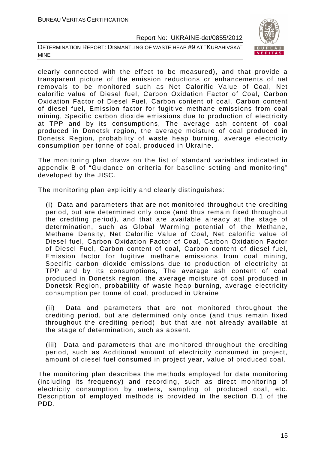DETERMINATION REPORT: DISMANTLING OF WASTE HEAP #9 AT "KURAHIVSKA" MINE



clearly connected with the effect to be measured), and that provide a transparent picture of the emission reductions or enhancements of net removals to be monitored such as Net Calorific Value of Coal, Net calorific value of Diesel fuel, Carbon Oxidation Factor of Coal, Carbon Oxidation Factor of Diesel Fuel, Carbon content of coal, Carbon content of diesel fuel, Emission factor for fugitive methane emissions from coal mining, Specific carbon dioxide emissions due to production of electricity at TPP and by its consumptions, The average ash content of coal produced in Donetsk region, the average moisture of coal produced in Donetsk Region, probability of waste heap burning, average electricity consumption per tonne of coal, produced in Ukraine.

The monitoring plan draws on the list of standard variables indicated in appendix B of "Guidance on criteria for baseline setting and monitoring" developed by the JISC.

The monitoring plan explicitly and clearly distinguishes:

(i) Data and parameters that are not monitored throughout the crediting period, but are determined only once (and thus remain fixed throughout the crediting period), and that are available already at the stage of determination, such as Global Warming potential of the Methane, Methane Density, Net Calorific Value of Coal, Net calorific value of Diesel fuel, Carbon Oxidation Factor of Coal, Carbon Oxidation Factor of Diesel Fuel, Carbon content of coal, Carbon content of diesel fuel, Emission factor for fugitive methane emissions from coal mining, Specific carbon dioxide emissions due to production of electricity at TPP and by its consumptions, The average ash content of coal produced in Donetsk region, the average moisture of coal produced in Donetsk Region, probability of waste heap burning, average electricity consumption per tonne of coal, produced in Ukraine

(ii) Data and parameters that are not monitored throughout the crediting period, but are determined only once (and thus remain fixed throughout the crediting period), but that are not already available at the stage of determination, such as absent.

(iii) Data and parameters that are monitored throughout the crediting period, such as Additional amount of electricity consumed in project, amount of diesel fuel consumed in project year, value of produced coal.

The monitoring plan describes the methods employed for data monitoring (including its frequency) and recording, such as direct monitoring of electricity consumption by meters, sampling of produced coal, etc. Description of employed methods is provided in the section D.1 of the PDD.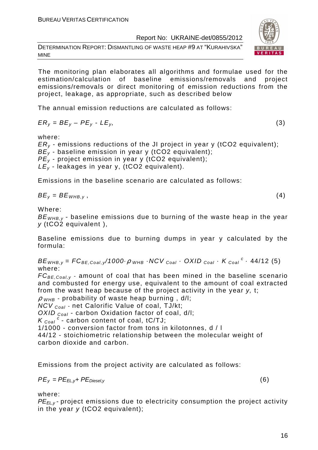DETERMINATION REPORT: DISMANTLING OF WASTE HEAP #9 AT "KURAHIVSKA" MINE

The monitoring plan elaborates all algorithms and formulae used for the estimation/calculation of baseline emissions/removals and project emissions/removals or direct monitoring of emission reductions from the project, leakage, as appropriate, such as described below

The annual emission reductions are calculated as follows:

$$
ER_y = BE_y - PE_y - LE_y,\tag{3}
$$

where:

 $ER<sub>v</sub>$  - emissions reductions of the JI project in year y (tCO2 equivalent);  $BE<sub>v</sub>$  - baseline emission in year y (tCO2 equivalent);  $PE<sub>v</sub>$  - project emission in year y (tCO2 equivalent);  $LE<sub>y</sub>$  - leakages in year y, (tCO2 equivalent).

Emissions in the baseline scenario are calculated as follows:

$$
BE_y = BE_{WHB,y}, \t\t(4)
$$

Where:

 $BE<sub>WHB,V</sub>$  - baseline emissions due to burning of the waste heap in the year y (tCO2 equivalent ),

Baseline emissions due to burning dumps in year y calculated by the formula:

 $BE_{WHB,y} = FC_{BE,Coal,y}$ /1000 $\cdot \rho$  whe  $\cdot$  NCV  $_{Coal}$   $\cdot$  OXID  $_{Coal}$   $\cdot$  K  $_{Coal}$   $\cdot$  44/12 (5) where:

 $FC_{BE, coal, y}$  - amount of coal that has been mined in the baseline scenario and combusted for energy use, equivalent to the amount of coal extracted from the wast heap because of the project activity in the year y, t;

 $\rho$  <sub>WHB</sub> - probability of waste heap burning, d/l;

 $NCV_{Coal}$  - net Calorific Value of coal, TJ/kt;

OXID  $_{Coal}$  - carbon Oxidation factor of coal, d/l:

 $K_{\text{Coal}}^c$  - carbon content of coal, tC/TJ;

1/1000 - conversion factor from tons in kilotonnes, d / l

44/12 - stoichiometric relationship between the molecular weight of carbon dioxide and carbon.

Emissions from the project activity are calculated as follows:

$$
PE_{y} = PE_{EL,y} + PE_{Diesel,y}
$$
 (6)

where:

PE<sub>ELY</sub>-project emissions due to electricity consumption the project activity in the year  $y$  (tCO2 equivalent);

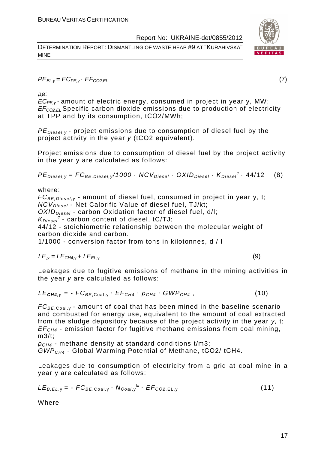DETERMINATION REPORT: DISMANTLING OF WASTE HEAP #9 AT "KURAHIVSKA" MINE



 $PE_{ELV} = EC_{PE,V} \cdot EF_{CO2,EL}$  (7)

де:

 $EC_{PE,v}$ -amount of electric energy, consumed in project in year y, MW; EF<sup>C</sup>*О*2,EL Specific carbon dioxide emissions due to production of electricity at TPP and by its consumption, tСО2/MWh;

 $PE_{\text{Diesel},v}$  - project emissions due to consumption of diesel fuel by the project activity in the year y (tCO2 equivalent).

Project emissions due to consumption of diesel fuel by the project activity in the year y are calculated as follows:

 $PE_{\text{Diesel},y} = FC_{BE,\text{Diesel},y} / 1000 \cdot NCV_{\text{Diesel}} \cdot OXID_{\text{Diesel}} \cdot K_{\text{Diesel}}^c \cdot 44/12$  (8)

where:

 $FC_{BE, Diesel, v}$  - amount of diesel fuel, consumed in project in year y, t; NCV<sub>Diesel</sub> - Net Calorific Value of diesel fuel, TJ/kt;

 $OXID<sub>Diesel</sub>$  - carbon Oxidation factor of diesel fuel, d/l;

 $K_{Diesel}^c$  - carbon content of diesel, tC/TJ;

44/12 - stoichiometric relationship between the molecular weight of carbon dioxide and carbon.

1/1000 - conversion factor from tons in kilotonnes, d / l

$$
LE_{,y} = LE_{CH4,y} + LE_{EL,y}
$$
 (9)

Leakages due to fugitive emissions of methane in the mining activities in the year y are calculated as follows:

$$
LE_{\text{CH4},y} = -FC_{BE, \text{Coal},y} \cdot EF_{CH4} \cdot \rho_{CH4} \cdot GWP_{CH4}, \qquad (10)
$$

 $FC_{BE, coal,v}$  - amount of coal that has been mined in the baseline scenario and combusted for energy use, equivalent to the amount of coal extracted from the sludge depository because of the project activity in the year y, t;  $EF<sub>CH4</sub>$  - emission factor for fugitive methane emissions from coal mining, m3/t;

 $\rho_{CH4}$  - methane density at standard conditions t/m3; GWPCH4 - Global Warming Potential of Methane, tСО2/ tСН4.

Leakages due to consumption of electricity from a grid at coal mine in a year y are calculated as follows:

$$
LE_{B,EL,y} = -FC_{BE,Coal,y} \cdot N_{Coal,y}^{E} \cdot EF_{CO2,EL,y}
$$
 (11)

Where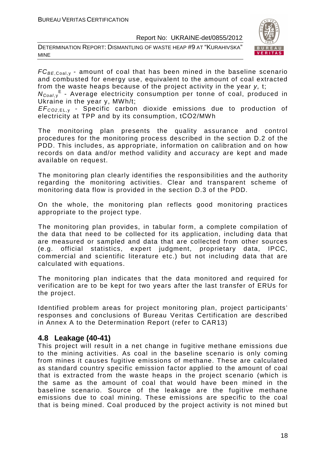DETERMINATION REPORT: DISMANTLING OF WASTE HEAP #9 AT "KURAHIVSKA" MINE



 $FC_{BE, coal,v}$  - amount of coal that has been mined in the baseline scenario and combusted for energy use, equivalent to the amount of coal extracted from the waste heaps because of the project activity in the year y, t;

N<sub>Coal,y</sub><sup>E</sup> - Average electricity consumption per tonne of coal, produced in Ukraine in the year y, MWh/t;

EF<sup>C</sup>*О*2,EL, <sup>у</sup> - Specific carbon dioxide emissions due to production of electricity at TPP and by its consumption, tСО2/MWh

The monitoring plan presents the quality assurance and control procedures for the monitoring process described in the section D.2 of the PDD. This includes, as appropriate, information on calibration and on how records on data and/or method validity and accuracy are kept and made available on request.

The monitoring plan clearly identifies the responsibilities and the authority regarding the monitoring activities. Clear and transparent scheme of monitoring data flow is provided in the section D.3 of the PDD.

On the whole, the monitoring plan reflects good monitoring practices appropriate to the project type.

The monitoring plan provides, in tabular form, a complete compilation of the data that need to be collected for its application, including data that are measured or sampled and data that are collected from other sources (e.g. official statistics, expert judgment, proprietary data, IPCC, commercial and scientific literature etc.) but not including data that are calculated with equations.

The monitoring plan indicates that the data monitored and required for verification are to be kept for two years after the last transfer of ERUs for the project.

Identified problem areas for project monitoring plan, project participants' responses and conclusions of Bureau Veritas Certification are described in Annex A to the Determination Report (refer to CAR13)

#### **4.8 Leakage (40-41)**

This project will result in a net change in fugitive methane emissions due to the mining activities. As coal in the baseline scenario is only coming from mines it causes fugitive emissions of methane. These are calculated as standard country specific emission factor applied to the amount of coal that is extracted from the waste heaps in the project scenario (which is the same as the amount of coal that would have been mined in the baseline scenario. Source of the leakage are the fugitive methane emissions due to coal mining. These emissions are specific to the coal that is being mined. Coal produced by the project activity is not mined but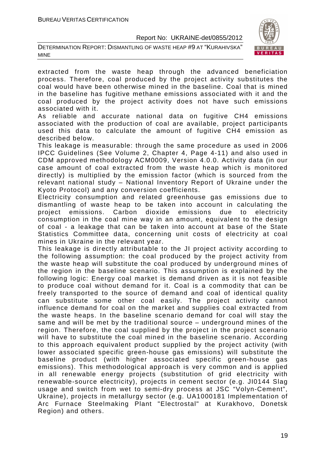DETERMINATION REPORT: DISMANTLING OF WASTE HEAP #9 AT "KURAHIVSKA" MINE



extracted from the waste heap through the advanced beneficiation process. Therefore, coal produced by the project activity substitutes the coal would have been otherwise mined in the baseline. Coal that is mined in the baseline has fugitive methane emissions associated with it and the coal produced by the project activity does not have such emissions associated with it.

As reliable and accurate national data on fugitive CH4 emissions associated with the production of coal are available, project participants used this data to calculate the amount of fugitive CH4 emission as described below.

This leakage is measurable: through the same procedure as used in 2006 IPCC Guidelines (See Volume 2, Chapter 4, Page 4-11) and also used in CDM approved methodology ACM0009, Version 4.0.0. Activity data (in our case amount of coal extracted from the waste heap which is monitored directly) is multiplied by the emission factor (which is sourced from the relevant national study – National Inventory Report of Ukraine under the Kyoto Protocol) and any conversion coefficients.

Electricity consumption and related greenhouse gas emissions due to dismantling of waste heap to be taken into account in calculating the project emissions. Carbon dioxide emissions due to electricity consumption in the coal mine way in an amount, equivalent to the design of coal - a leakage that can be taken into account at base of the State Statistics Committee data, concerning unit costs of electricity at coal mines in Ukraine in the relevant year.

This leakage is directly attributable to the JI project activity according to the following assumption: the coal produced by the project activity from the waste heap will substitute the coal produced by underground mines of the region in the baseline scenario. This assumption is explained by the following logic: Energy coal market is demand driven as it is not feasible to produce coal without demand for it. Coal is a commodity that can be freely transported to the source of demand and coal of identical quality can substitute some other coal easily. The project activity cannot influence demand for coal on the market and supplies coal extracted from the waste heaps. In the baseline scenario demand for coal will stay the same and will be met by the traditional source – underground mines of the region. Therefore, the coal supplied by the project in the project scenario will have to substitute the coal mined in the baseline scenario. According to this approach equivalent product supplied by the project activity (with lower associated specific green-house gas emissions) will substitute the baseline product (with higher associated specific green-house gas emissions). This methodological approach is very common and is applied in all renewable energy projects (substitution of grid electricity with renewable-source electricity), projects in cement sector (e.g. JI0144 Slag usage and switch from wet to semi-dry process at JSC "Volyn-Cement", Ukraine), projects in metallurgy sector (e.g. UA1000181 Implementation of Arc Furnace Steelmaking Plant "Electrostal" at Kurakhovo, Donetsk Region) and others.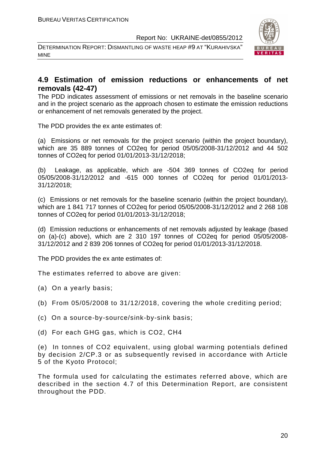DETERMINATION REPORT: DISMANTLING OF WASTE HEAP #9 AT "KURAHIVSKA" MINE



#### **4.9 Estimation of emission reductions or enhancements of net removals (42-47)**

The PDD indicates assessment of emissions or net removals in the baseline scenario and in the project scenario as the approach chosen to estimate the emission reductions or enhancement of net removals generated by the project.

The PDD provides the ex ante estimates of:

(a) Emissions or net removals for the project scenario (within the project boundary), which are 35 889 tonnes of CO2eq for period 05/05/2008-31/12/2012 and 44 502 tonnes of CO2eq for period 01/01/2013-31/12/2018;

(b) Leakage, as applicable, which are -504 369 tonnes of CO2eq for period 05/05/2008-31/12/2012 and -615 000 tonnes of CO2eq for period 01/01/2013- 31/12/2018;

(c) Emissions or net removals for the baseline scenario (within the project boundary), which are 1 841 717 tonnes of CO2eq for period 05/05/2008-31/12/2012 and 2 268 108 tonnes of CO2eq for period 01/01/2013-31/12/2018;

(d) Emission reductions or enhancements of net removals adjusted by leakage (based on (a)-(c) above), which are 2 310 197 tonnes of CO2eq for period 05/05/2008- 31/12/2012 and 2 839 206 tonnes of CO2eq for period 01/01/2013-31/12/2018.

The PDD provides the ex ante estimates of:

The estimates referred to above are given:

- (a) On a yearly basis;
- (b) From 05/05/2008 to 31/12/2018, covering the whole crediting period;
- (c) On a source-by-source/sink-by-sink basis;
- (d) For each GHG gas, which is CO2, СН4

(e) In tonnes of CO2 equivalent, using global warming potentials defined by decision 2/CP.3 or as subsequently revised in accordance with Article 5 of the Kyoto Protocol;

The formula used for calculating the estimates referred above, which are described in the section 4.7 of this Determination Report, are consistent throughout the PDD.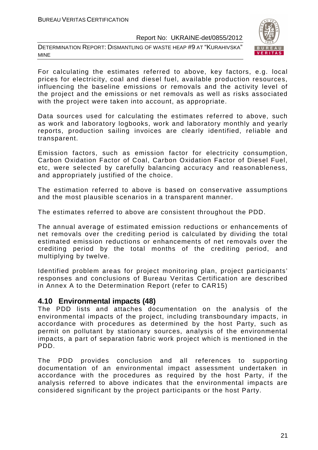DETERMINATION REPORT: DISMANTLING OF WASTE HEAP #9 AT "KURAHIVSKA" MINE



For calculating the estimates referred to above, key factors, e.g. local prices for electricity, coal and diesel fuel, available production resources, influencing the baseline emissions or removals and the activity level of the project and the emissions or net removals as well as risks associated with the project were taken into account, as appropriate.

Data sources used for calculating the estimates referred to above, such as work and laboratory logbooks, work and laboratory monthly and yearly reports, production sailing invoices are clearly identified, reliable and transparent.

Emission factors, such as emission factor for electricity consumption, Carbon Oxidation Factor of Coal, Carbon Oxidation Factor of Diesel Fuel, etc, were selected by carefully balancing accuracy and reasonableness, and appropriately justified of the choice.

The estimation referred to above is based on conservative assumptions and the most plausible scenarios in a transparent manner.

The estimates referred to above are consistent throughout the PDD.

The annual average of estimated emission reductions or enhancements of net removals over the crediting period is calculated by dividing the total estimated emission reductions or enhancements of net removals over the crediting period by the total months of the crediting period, and multiplying by twelve.

Identified problem areas for project monitoring plan, project participants' responses and conclusions of Bureau Veritas Certification are described in Annex A to the Determination Report (refer to CAR15)

#### **4.10 Environmental impacts (48)**

The PDD lists and attaches documentation on the analysis of the environmental impacts of the project, including transboundary impacts, in accordance with procedures as determined by the host Party, such as permit on pollutant by stationary sources, analysis of the environmental impacts, a part of separation fabric work project which is mentioned in the PDD.

The PDD provides conclusion and all references to supporting documentation of an environmental impact assessment undertaken in accordance with the procedures as required by the host Party, if the analysis referred to above indicates that the environmental impacts are considered significant by the project participants or the host Party.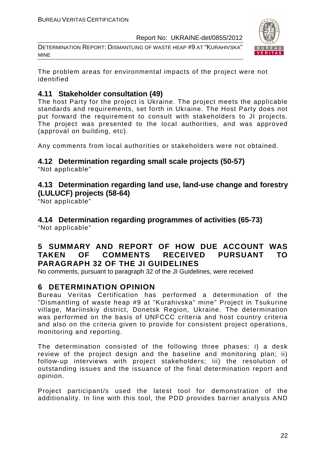DETERMINATION REPORT: DISMANTLING OF WASTE HEAP #9 AT "KURAHIVSKA" MINE



The problem areas for environmental impacts of the project were not identified

#### **4.11 Stakeholder consultation (49)**

The host Party for the project is Ukraine. The project meets the applicable standards and requirements, set forth in Ukraine. The Host Party does not put forward the requirement to consult with stakeholders to JI projects. The project was presented to the local authorities, and was approved (approval on building, etc).

Any comments from local authorities or stakeholders were not obtained.

#### **4.12 Determination regarding small scale projects (50-57)**

"Not applicable"

#### **4.13 Determination regarding land use, land-use change and forestry (LULUCF) projects (58-64)**

"Not applicable"

#### **4.14 Determination regarding programmes of activities (65-73)**  "Not applicable"

#### **5 SUMMARY AND REPORT OF HOW DUE ACCOUNT WAS TAKEN OF COMMENTS RECEIVED PURSUANT TO PARAGRAPH 32 OF THE JI GUIDELINES**

No comments, pursuant to paragraph 32 of the JI Guidelines, were received

#### **6 DETERMINATION OPINION**

Bureau Veritas Certification has performed a determination of the "Dismantling of waste heap #9 at "Kurahivska" mine" Project in Tsukurine village, Mariinskiy district, Donetsk Region, Ukraine. The determination was performed on the basis of UNFCCC criteria and host country criteria and also on the criteria given to provide for consistent project operations, monitoring and reporting.

The determination consisted of the following three phases: i) a desk review of the project design and the baseline and monitoring plan; ii) follow-up interviews with project stakeholders; iii) the resolution of outstanding issues and the issuance of the final determination report and opinion.

Project participant/s used the latest tool for demonstration of the additionality. In line with this tool, the PDD provides barrier analysis AND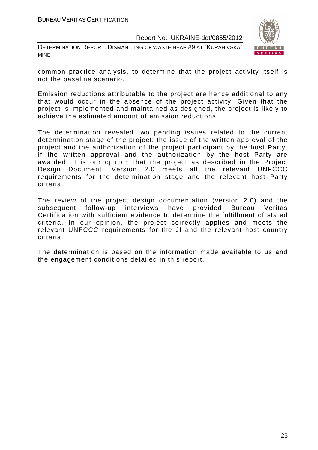DETERMINATION REPORT: DISMANTLING OF WASTE HEAP #9 AT "KURAHIVSKA" MINE



common practice analysis, to determine that the project activity itself is not the baseline scenario.

Emission reductions attributable to the project are hence additional to any that would occur in the absence of the project activity. Given that the project is implemented and maintained as designed, the project is likely to achieve the estimated amount of emission reductions.

The determination revealed two pending issues related to the current determination stage of the project: the issue of the written approval of the project and the authorization of the project participant by the host Party. If the written approval and the authorization by the host Party are awarded, it is our opinion that the project as described in the Project Design Document, Version 2.0 meets all the relevant UNFCCC requirements for the determination stage and the relevant host Party criteria.

The review of the project design documentation (version 2.0) and the subsequent follow-up interviews have provided Bureau Veritas Certification with sufficient evidence to determine the fulfillment of stated criteria. In our opinion, the project correctly applies and meets the relevant UNFCCC requirements for the JI and the relevant host country criteria.

The determination is based on the information made available to us and the engagement conditions detailed in this report.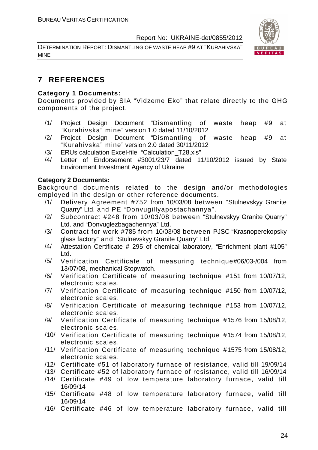DETERMINATION REPORT: DISMANTLING OF WASTE HEAP #9 AT "KURAHIVSKA" MINE



#### **7 REFERENCES**

#### **Category 1 Documents:**

Documents provided by SIA "Vidzeme Eko" that relate directly to the GHG components of the project.

- /1/ Project Design Document "Dismantling of waste heap #9 at "Kurahivska" mine" version 1.0 dated 11/10/2012
- /2/ Project Design Document "Dismantling of waste heap #9 at "Kurahivska" mine" version 2.0 dated 30/11/2012
- /3/ ERUs calculation Excel-file "Calculation\_T28.xls"
- /4/ Letter of Endorsement #3001/23/7 dated 11/10/2012 issued by State Environment Investment Agency of Ukraine

#### **Category 2 Documents:**

Background documents related to the design and/or methodologies employed in the design or other reference documents.

- /1/ Delivery Agreement #752 from 10/03/08 between "Stulnevskyy Granite Quarry" Ltd. and PE "Donvugillyapostachannya".
- /2/ Subcontract #248 from 10/03/08 between "Stulnevskyy Granite Quarry" Ltd. and "Donvuglezbagachennya" Ltd.
- /3/ Contract for work #785 from 10/03/08 between PJSC "Krasnoperekopsky glass factory" and "Stulnevskyy Granite Quarry" Ltd.
- /4/ Attestation Certificate # 295 of chemical laboratory, "Enrichment plant #105" Ltd.
- /5/ Verification Certificate of measuring technique#06/03-/004 from 13/07/08, mechanical Stopwatch.
- /6/ Verification Certificate of measuring technique #151 from 10/07/12, electronic scales.
- /7/ Verification Certificate of measuring technique #150 from 10/07/12, electronic scales.
- /8/ Verification Certificate of measuring technique #153 from 10/07/12, electronic scales.
- /9/ Verification Certificate of measuring technique #1576 from 15/08/12, electronic scales.
- /10/ Verification Certificate of measuring technique #1574 from 15/08/12, electronic scales.
- /11/ Verification Certificate of measuring technique #1575 from 15/08/12, electronic scales.
- /12/ Certificate #51 of laboratory furnace of resistance, valid till 19/09/14
- /13/ Certificate #52 of laboratory furnace of resistance, valid till 16/09/14
- /14/ Certificate #49 of low temperature laboratory furnace, valid till 16/09/14
- /15/ Certificate #48 of low temperature laboratory furnace, valid till 16/09/14
- /16/ Certificate #46 of low temperature laboratory furnace, valid till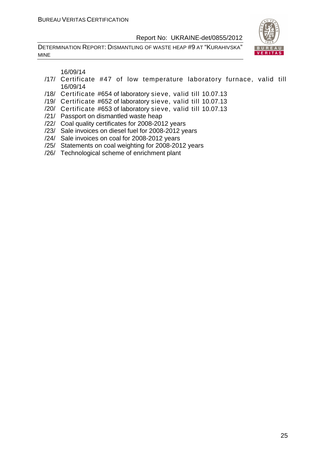DETERMINATION REPORT: DISMANTLING OF WASTE HEAP #9 AT "KURAHIVSKA" MINE



16/09/14

- /17/ Certificate #47 of low temperature laboratory furnace, valid till 16/09/14
- /18/ Certificate #654 of laboratory sieve, valid till 10.07.13
- /19/ Certificate #652 of laboratory sieve, valid till 10.07.13
- /20/ Certificate #653 of laboratory sieve, valid till 10.07.13
- /21/ Passport on dismantled waste heap
- /22/ Coal quality certificates for 2008-2012 years
- /23/ Sale invoices on diesel fuel for 2008-2012 years
- /24/ Sale invoices on coal for 2008-2012 years
- /25/ Statements on coal weighting for 2008-2012 years
- /26/ Technological scheme of enrichment plant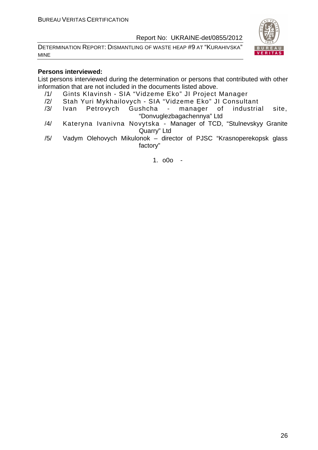DETERMINATION REPORT: DISMANTLING OF WASTE HEAP #9 AT "KURAHIVSKA" MINE



#### **Persons interviewed:**

List persons interviewed during the determination or persons that contributed with other information that are not included in the documents listed above.

- /1/ Gints KIavinsh SIA "Vidzeme Eko" JI Project Manager
- /2/ Stah Yuri Mykhailovych SIA "Vidzeme Eko" JI Consultant
- /3/ Ivan Petrovych Gushcha manager of industrial site, "Donvuglezbagachennya" Ltd
- /4/ Kateryna Ivanivna Novytska Manager of TCD, "Stulnevskyy Granite Quarry" Ltd
- /5/ Vadym Olehovych Mikulonok director of PJSC "Krasnoperekopsk glass factory"

1. o0o -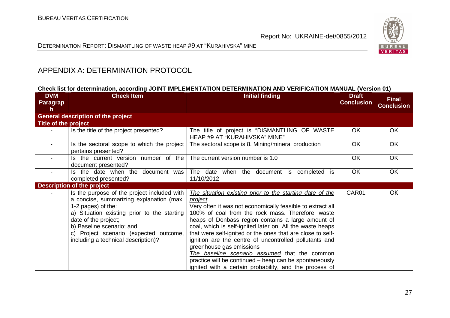



#### APPENDIX A: DETERMINATION PROTOCOL

#### **Check list for determination, according JOINT IMPLEMENTATION DETERMINATION AND VERIFICATION MANUAL (Version 01)**

| <b>DVM</b><br>Paragrap | <b>Check Item</b>                                                                                                                                                                                                                                                                                  | <b>Initial finding</b>                                                                                                                                                                                                                                                                                                                                                                                                                                                                                                                                                                                                             | <b>Draft</b><br><b>Conclusion</b> | <b>Final</b><br><b>Conclusion</b> |
|------------------------|----------------------------------------------------------------------------------------------------------------------------------------------------------------------------------------------------------------------------------------------------------------------------------------------------|------------------------------------------------------------------------------------------------------------------------------------------------------------------------------------------------------------------------------------------------------------------------------------------------------------------------------------------------------------------------------------------------------------------------------------------------------------------------------------------------------------------------------------------------------------------------------------------------------------------------------------|-----------------------------------|-----------------------------------|
| h                      | <b>General description of the project</b>                                                                                                                                                                                                                                                          |                                                                                                                                                                                                                                                                                                                                                                                                                                                                                                                                                                                                                                    |                                   |                                   |
| Title of the project   |                                                                                                                                                                                                                                                                                                    |                                                                                                                                                                                                                                                                                                                                                                                                                                                                                                                                                                                                                                    |                                   |                                   |
|                        | Is the title of the project presented?                                                                                                                                                                                                                                                             | The title of project is "DISMANTLING OF WASTE<br>HEAP #9 AT "KURAHIVSKA" MINE"                                                                                                                                                                                                                                                                                                                                                                                                                                                                                                                                                     | <b>OK</b>                         | <b>OK</b>                         |
|                        | Is the sectoral scope to which the project<br>pertains presented?                                                                                                                                                                                                                                  | The sectoral scope is 8. Mining/mineral production                                                                                                                                                                                                                                                                                                                                                                                                                                                                                                                                                                                 | <b>OK</b>                         | OK                                |
|                        | Is the current version number of the<br>document presented?                                                                                                                                                                                                                                        | The current version number is 1.0                                                                                                                                                                                                                                                                                                                                                                                                                                                                                                                                                                                                  | <b>OK</b>                         | OK                                |
|                        | Is the date when the document was<br>completed presented?                                                                                                                                                                                                                                          | The date when the document is completed is<br>11/10/2012                                                                                                                                                                                                                                                                                                                                                                                                                                                                                                                                                                           | <b>OK</b>                         | <b>OK</b>                         |
|                        | <b>Description of the project</b>                                                                                                                                                                                                                                                                  |                                                                                                                                                                                                                                                                                                                                                                                                                                                                                                                                                                                                                                    |                                   |                                   |
|                        | Is the purpose of the project included with<br>a concise, summarizing explanation (max.<br>1-2 pages) of the:<br>a) Situation existing prior to the starting<br>date of the project;<br>b) Baseline scenario; and<br>c) Project scenario (expected outcome,<br>including a technical description)? | The situation existing prior to the starting date of the<br>project<br>Very often it was not economically feasible to extract all<br>100% of coal from the rock mass. Therefore, waste<br>heaps of Donbass region contains a large amount of<br>coal, which is self-ignited later on. All the waste heaps<br>that were self-ignited or the ones that are close to self-<br>ignition are the centre of uncontrolled pollutants and<br>greenhouse gas emissions<br>The baseline scenario assumed that the common<br>practice will be continued – heap can be spontaneously<br>ignited with a certain probability, and the process of | CAR01                             | OK                                |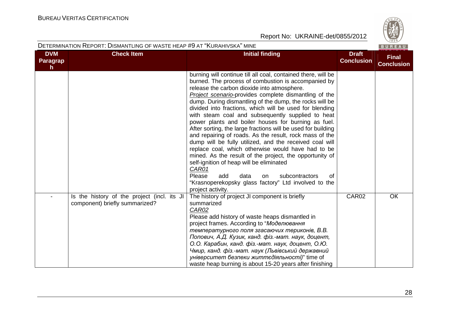

| <b>DVM</b><br><b>Paragrap</b><br>$\mathsf{h}$ | <b>Check Item</b>                                                             | <b>Initial finding</b>                                                                                                                                                                                                                                                                                                                                                                                                                                                                                                                                                                                                                                                                                                                                                                                                                                                                                                                                                | <b>Draft</b><br><b>Conclusion</b> | <b>Final</b><br><b>Conclusion</b> |
|-----------------------------------------------|-------------------------------------------------------------------------------|-----------------------------------------------------------------------------------------------------------------------------------------------------------------------------------------------------------------------------------------------------------------------------------------------------------------------------------------------------------------------------------------------------------------------------------------------------------------------------------------------------------------------------------------------------------------------------------------------------------------------------------------------------------------------------------------------------------------------------------------------------------------------------------------------------------------------------------------------------------------------------------------------------------------------------------------------------------------------|-----------------------------------|-----------------------------------|
|                                               |                                                                               | burning will continue till all coal, contained there, will be<br>burned. The process of combustion is accompanied by<br>release the carbon dioxide into atmosphere.<br><b>Project scenario-provides complete dismantling of the</b><br>dump. During dismantling of the dump, the rocks will be<br>divided into fractions, which will be used for blending<br>with steam coal and subsequently supplied to heat<br>power plants and boiler houses for burning as fuel.<br>After sorting, the large fractions will be used for building<br>and repairing of roads. As the result, rock mass of the<br>dump will be fully utilized, and the received coal will<br>replace coal, which otherwise would have had to be<br>mined. As the result of the project, the opportunity of<br>self-ignition of heap will be eliminated<br>CAR01<br>Please<br>add<br>data<br>subcontractors<br>of<br>on<br>"Krasnoperekopsky glass factory" Ltd involved to the<br>project activity. |                                   |                                   |
|                                               | Is the history of the project (incl. its JI<br>component) briefly summarized? | The history of project JI component is briefly<br>summarized<br>CAR02<br>Please add history of waste heaps dismantled in<br>project frames. According to "Моделювання<br>температурного поля згасаючих териконів, В.В.<br>Попович, А.Д. Кузик, канд. фіз.-мат. наук, доцент,<br>О.О. Карабин, канд. фіз.-мат. наук, доцент, О.Ю.<br>Чмир, канд. фіз.-мат. наук (Львівський державний<br>університет безпеки життєдіяльності)" time of<br>waste heap burning is about 15-20 years after finishing                                                                                                                                                                                                                                                                                                                                                                                                                                                                      | CAR02                             | OK                                |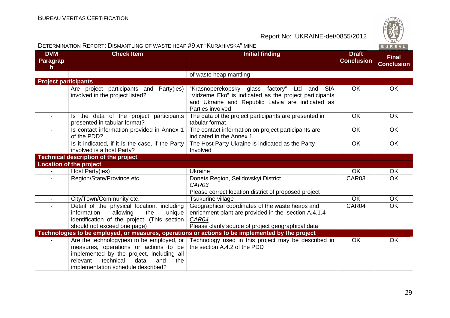|                              | DETERMINATION REPORT: DISMANTLING OF WASTE HEAP #9 AT "KURAHIVSKA" MINE                                                                                                                                                |                                                                                                                                                                                |                                   | BUREAU                            |
|------------------------------|------------------------------------------------------------------------------------------------------------------------------------------------------------------------------------------------------------------------|--------------------------------------------------------------------------------------------------------------------------------------------------------------------------------|-----------------------------------|-----------------------------------|
| <b>DVM</b><br>Paragrap<br>h. | <b>Check Item</b>                                                                                                                                                                                                      | <b>Initial finding</b>                                                                                                                                                         | <b>Draft</b><br><b>Conclusion</b> | <b>Final</b><br><b>Conclusion</b> |
|                              |                                                                                                                                                                                                                        | of waste heap mantling                                                                                                                                                         |                                   |                                   |
| <b>Project participants</b>  |                                                                                                                                                                                                                        |                                                                                                                                                                                |                                   |                                   |
|                              | Are project participants and Party(ies)<br>involved in the project listed?                                                                                                                                             | "Krasnoperekopsky glass factory" Ltd and SIA<br>"Vidzeme Eko" is indicated as the project participants<br>and Ukraine and Republic Latvia are indicated as<br>Parties involved | <b>OK</b>                         | OK                                |
|                              | Is the data of the project participants<br>presented in tabular format?                                                                                                                                                | The data of the project participants are presented in<br>tabular format                                                                                                        | <b>OK</b>                         | <b>OK</b>                         |
| $\blacksquare$               | Is contact information provided in Annex 1<br>of the PDD?                                                                                                                                                              | The contact information on project participants are<br>indicated in the Annex 1                                                                                                | OK                                | OK                                |
|                              | Is it indicated, if it is the case, if the Party<br>involved is a host Party?                                                                                                                                          | The Host Party Ukraine is indicated as the Party<br>Involved                                                                                                                   | OK                                | OK                                |
|                              | <b>Technical description of the project</b>                                                                                                                                                                            |                                                                                                                                                                                |                                   |                                   |
|                              | <b>Location of the project</b>                                                                                                                                                                                         |                                                                                                                                                                                |                                   |                                   |
|                              | Host Party(ies)                                                                                                                                                                                                        | Ukraine                                                                                                                                                                        | <b>OK</b>                         | <b>OK</b>                         |
|                              | Region/State/Province etc.                                                                                                                                                                                             | Donets Region, Selidovskyi District<br>CAR03<br>Please correct location district of proposed project                                                                           | CAR <sub>03</sub>                 | <b>OK</b>                         |
| $\overline{\phantom{a}}$     | City/Town/Community etc.                                                                                                                                                                                               | Tsukurine village                                                                                                                                                              | <b>OK</b>                         | OK                                |
|                              | Detail of the physical location, including<br>information<br>allowing<br>the<br>unique<br>identification of the project. (This section<br>should not exceed one page)                                                  | Geographical coordinates of the waste heaps and<br>enrichment plant are provided in the section A.4.1.4<br>CAR04<br>Please clarify source of project geographical data         | CAR04                             | <b>OK</b>                         |
|                              |                                                                                                                                                                                                                        | Technologies to be employed, or measures, operations or actions to be implemented by the project                                                                               |                                   |                                   |
|                              | Are the technology (ies) to be employed, or<br>measures, operations or actions to be<br>implemented by the project, including all<br>technical<br>data<br>relevant<br>the<br>and<br>implementation schedule described? | Technology used in this project may be described in<br>the section A.4.2 of the PDD                                                                                            | OK                                | OK                                |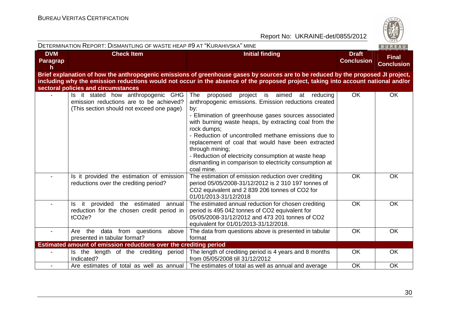

| DETERMINATION REPORT: DISMANTLING OF WASTE HEAP #9 AT "KURAHIVSKA" MINE<br>BUREAU |                                                                                                                            |                                                                                                                                                                                                                                                                                                                                                                                                                                                                                                                     |                                   |                                   |
|-----------------------------------------------------------------------------------|----------------------------------------------------------------------------------------------------------------------------|---------------------------------------------------------------------------------------------------------------------------------------------------------------------------------------------------------------------------------------------------------------------------------------------------------------------------------------------------------------------------------------------------------------------------------------------------------------------------------------------------------------------|-----------------------------------|-----------------------------------|
| <b>DVM</b><br>Paragrap<br>h                                                       | <b>Check Item</b>                                                                                                          | <b>Initial finding</b>                                                                                                                                                                                                                                                                                                                                                                                                                                                                                              | <b>Draft</b><br><b>Conclusion</b> | <b>Final</b><br><b>Conclusion</b> |
|                                                                                   | sectoral policies and circumstances                                                                                        | Brief explanation of how the anthropogenic emissions of greenhouse gases by sources are to be reduced by the proposed JI project,<br>including why the emission reductions would not occur in the absence of the proposed project, taking into account national and/or                                                                                                                                                                                                                                              |                                   |                                   |
|                                                                                   | Is it stated how anthropogenic GHG<br>emission reductions are to be achieved?<br>(This section should not exceed one page) | The<br>proposed<br>project is aimed<br>at reducing<br>anthropogenic emissions. Emission reductions created<br>by:<br>- Elimination of greenhouse gases sources associated<br>with burning waste heaps, by extracting coal from the<br>rock dumps;<br>- Reduction of uncontrolled methane emissions due to<br>replacement of coal that would have been extracted<br>through mining;<br>- Reduction of electricity consumption at waste heap<br>dismantling in comparison to electricity consumption at<br>coal mine. | OK                                | <b>OK</b>                         |
|                                                                                   | Is it provided the estimation of emission<br>reductions over the crediting period?                                         | The estimation of emission reduction over crediting<br>period 05/05/2008-31/12/2012 is 2 310 197 tonnes of<br>CO2 equivalent and 2 839 206 tonnes of CO2 for<br>01/01/2013-31/12/2018                                                                                                                                                                                                                                                                                                                               | <b>OK</b>                         | OK                                |
|                                                                                   | Is it provided the estimated annual<br>reduction for the chosen credit period in<br>tCO <sub>2e</sub> ?                    | The estimated annual reduction for chosen crediting<br>period is 495 042 tonnes of CO2 equivalent for<br>05/05/2008-31/12/2012 and 473 201 tonnes of CO2<br>equivalent for 01/01/2013-31/12/2018.                                                                                                                                                                                                                                                                                                                   | <b>OK</b>                         | OK                                |
|                                                                                   | data from questions<br>Are the<br>above<br>presented in tabular format?                                                    | The data from questions above is presented in tabular<br>format                                                                                                                                                                                                                                                                                                                                                                                                                                                     | OK                                | OK                                |
|                                                                                   | Estimated amount of emission reductions over the crediting period                                                          |                                                                                                                                                                                                                                                                                                                                                                                                                                                                                                                     |                                   |                                   |
|                                                                                   | Is the length of the crediting period<br>Indicated?                                                                        | The length of crediting period is 4 years and 8 months<br>from 05/05/2008 till 31/12/2012                                                                                                                                                                                                                                                                                                                                                                                                                           | <b>OK</b>                         | OK                                |
|                                                                                   |                                                                                                                            | Are estimates of total as well as annual The estimates of total as well as annual and average                                                                                                                                                                                                                                                                                                                                                                                                                       | OK                                | OK                                |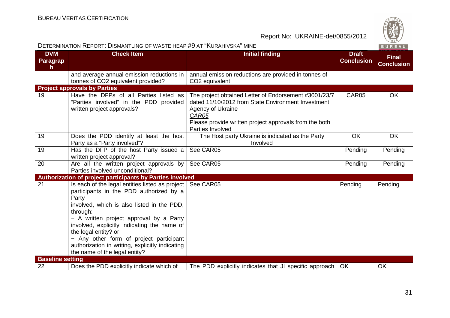| DETERMINATION REPORT: DISMANTLING OF WASTE HEAP #9 AT "KURAHIVSKA" MINE |                                                                                                                                                                                                                                                                                                                                                                                                                  |                                                                                                                                                                                                                         | BUREAU                            |                                   |
|-------------------------------------------------------------------------|------------------------------------------------------------------------------------------------------------------------------------------------------------------------------------------------------------------------------------------------------------------------------------------------------------------------------------------------------------------------------------------------------------------|-------------------------------------------------------------------------------------------------------------------------------------------------------------------------------------------------------------------------|-----------------------------------|-----------------------------------|
| <b>DVM</b><br>Paragrap<br>h                                             | <b>Check Item</b>                                                                                                                                                                                                                                                                                                                                                                                                | <b>Initial finding</b>                                                                                                                                                                                                  | <b>Draft</b><br><b>Conclusion</b> | <b>Final</b><br><b>Conclusion</b> |
|                                                                         | and average annual emission reductions in<br>tonnes of CO2 equivalent provided?                                                                                                                                                                                                                                                                                                                                  | annual emission reductions are provided in tonnes of<br>CO <sub>2</sub> equivalent                                                                                                                                      |                                   |                                   |
|                                                                         | <b>Project approvals by Parties</b>                                                                                                                                                                                                                                                                                                                                                                              |                                                                                                                                                                                                                         |                                   |                                   |
| 19                                                                      | Have the DFPs of all Parties listed as<br>"Parties involved" in the PDD provided<br>written project approvals?                                                                                                                                                                                                                                                                                                   | The project obtained Letter of Endorsement #3001/23/7<br>dated 11/10/2012 from State Environment Investment<br>Agency of Ukraine<br>CAR05<br>Please provide written project approvals from the both<br>Parties Involved | CAR05                             | <b>OK</b>                         |
| 19                                                                      | Does the PDD identify at least the host<br>Party as a "Party involved"?                                                                                                                                                                                                                                                                                                                                          | The Host party Ukraine is indicated as the Party<br>Involved                                                                                                                                                            | OK                                | <b>OK</b>                         |
| 19                                                                      | Has the DFP of the host Party issued a<br>written project approval?                                                                                                                                                                                                                                                                                                                                              | See CAR05                                                                                                                                                                                                               | Pending                           | Pending                           |
| 20                                                                      | Are all the written project approvals by<br>Parties involved unconditional?                                                                                                                                                                                                                                                                                                                                      | See CAR05                                                                                                                                                                                                               | Pending                           | Pending                           |
|                                                                         | Authorization of project participants by Parties involved                                                                                                                                                                                                                                                                                                                                                        |                                                                                                                                                                                                                         |                                   |                                   |
| 21                                                                      | Is each of the legal entities listed as project  <br>participants in the PDD authorized by a<br>Party<br>involved, which is also listed in the PDD,<br>through:<br>- A written project approval by a Party<br>involved, explicitly indicating the name of<br>the legal entity? or<br>- Any other form of project participant<br>authorization in writing, explicitly indicating<br>the name of the legal entity? | See CAR05                                                                                                                                                                                                               | Pending                           | Pending                           |
| <b>Baseline setting</b>                                                 |                                                                                                                                                                                                                                                                                                                                                                                                                  |                                                                                                                                                                                                                         |                                   |                                   |
| 22                                                                      | Does the PDD explicitly indicate which of                                                                                                                                                                                                                                                                                                                                                                        | The PDD explicitly indicates that JI specific approach   OK                                                                                                                                                             |                                   | <b>OK</b>                         |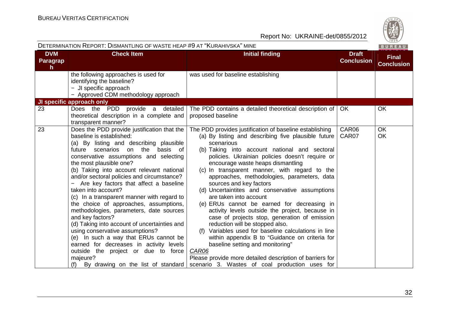|                             | DETERMINATION REPORT: DISMANTLING OF WASTE HEAP #9 AT "KURAHIVSKA" MINE<br>BUREAU                                                                                                                                                                                                                                                                                                                                                                                                                                                                                                                                                                                                                                                                                                                                       |                                                                                                                                                                                                                                                                                                                                                                                                                                                                                                                                                                                                                                                                                                                                                                                                                                                                                                                                          |                                   |                                   |
|-----------------------------|-------------------------------------------------------------------------------------------------------------------------------------------------------------------------------------------------------------------------------------------------------------------------------------------------------------------------------------------------------------------------------------------------------------------------------------------------------------------------------------------------------------------------------------------------------------------------------------------------------------------------------------------------------------------------------------------------------------------------------------------------------------------------------------------------------------------------|------------------------------------------------------------------------------------------------------------------------------------------------------------------------------------------------------------------------------------------------------------------------------------------------------------------------------------------------------------------------------------------------------------------------------------------------------------------------------------------------------------------------------------------------------------------------------------------------------------------------------------------------------------------------------------------------------------------------------------------------------------------------------------------------------------------------------------------------------------------------------------------------------------------------------------------|-----------------------------------|-----------------------------------|
| <b>DVM</b><br>Paragrap<br>h | <b>Check Item</b>                                                                                                                                                                                                                                                                                                                                                                                                                                                                                                                                                                                                                                                                                                                                                                                                       | <b>Initial finding</b>                                                                                                                                                                                                                                                                                                                                                                                                                                                                                                                                                                                                                                                                                                                                                                                                                                                                                                                   | <b>Draft</b><br><b>Conclusion</b> | <b>Final</b><br><b>Conclusion</b> |
|                             | the following approaches is used for<br>identifying the baseline?<br>- JI specific approach<br>- Approved CDM methodology approach                                                                                                                                                                                                                                                                                                                                                                                                                                                                                                                                                                                                                                                                                      | was used for baseline establishing                                                                                                                                                                                                                                                                                                                                                                                                                                                                                                                                                                                                                                                                                                                                                                                                                                                                                                       |                                   |                                   |
|                             | <b>JI specific approach only</b>                                                                                                                                                                                                                                                                                                                                                                                                                                                                                                                                                                                                                                                                                                                                                                                        |                                                                                                                                                                                                                                                                                                                                                                                                                                                                                                                                                                                                                                                                                                                                                                                                                                                                                                                                          |                                   |                                   |
| 23                          | Does the PDD<br>provide a detailed<br>theoretical description in a complete and<br>transparent manner?                                                                                                                                                                                                                                                                                                                                                                                                                                                                                                                                                                                                                                                                                                                  | The PDD contains a detailed theoretical description of<br>proposed baseline                                                                                                                                                                                                                                                                                                                                                                                                                                                                                                                                                                                                                                                                                                                                                                                                                                                              | OK.                               | <b>OK</b>                         |
| 23                          | Does the PDD provide justification that the<br>baseline is established:<br>(a) By listing and describing plausible<br>future scenarios on the basis of<br>conservative assumptions and selecting<br>the most plausible one?<br>(b) Taking into account relevant national<br>and/or sectoral policies and circumstance?<br>- Are key factors that affect a baseline<br>taken into account?<br>(c) In a transparent manner with regard to<br>the choice of approaches, assumptions,<br>methodologies, parameters, date sources<br>and key factors?<br>(d) Taking into account of uncertainties and<br>using conservative assumptions?<br>(e) In such a way that ERUs cannot be<br>earned for decreases in activity levels<br>outside the project or due to force<br>majeure?<br>By drawing on the list of standard<br>(f) | The PDD provides justification of baseline establishing<br>(a) By listing and describing five plausible future<br>scenarious<br>(b) Taking into account national and sectoral<br>policies. Ukrainian policies doesn't require or<br>encourage waste heaps dismantling<br>(c) In transparent manner, with regard to the<br>approaches, methodologies, parameters, data<br>sources and key factors<br>(d) Uncertaintites and conservative assumptions<br>are taken into account<br>(e) ERUs cannot be earned for decreasing in<br>activity levels outside the project, because in<br>case of projects stop, generation of emission<br>reduction will be stopped also.<br>(f) Variables used for baseline calculations in line<br>within appendix B to "Guidance on criteria for<br>baseline setting and monitoring"<br>CAR06<br>Please provide more detailed description of barriers for<br>scenario 3. Wastes of coal production uses for | CAR06<br>CAR07                    | <b>OK</b><br>OK                   |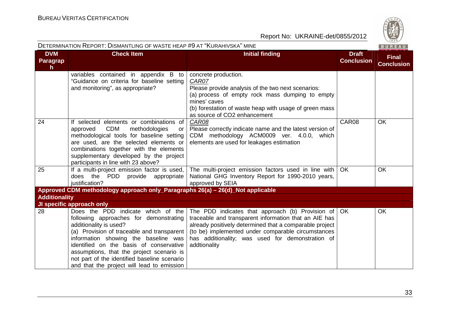

|                                       | DETERMINATION REPORT: DISMANTLING OF WASTE HEAP #9 AT "KURAHIVSKA" MINE                                                                                                                                                                                                                                                                                                            |                                                                                                                                                                                                                                                                                                            |                                   | BUREAU                            |
|---------------------------------------|------------------------------------------------------------------------------------------------------------------------------------------------------------------------------------------------------------------------------------------------------------------------------------------------------------------------------------------------------------------------------------|------------------------------------------------------------------------------------------------------------------------------------------------------------------------------------------------------------------------------------------------------------------------------------------------------------|-----------------------------------|-----------------------------------|
| <b>DVM</b><br>Paragrap<br>$\mathbf h$ | <b>Check Item</b>                                                                                                                                                                                                                                                                                                                                                                  | <b>Initial finding</b>                                                                                                                                                                                                                                                                                     | <b>Draft</b><br><b>Conclusion</b> | <b>Final</b><br><b>Conclusion</b> |
|                                       | variables contained in appendix B to<br>"Guidance on criteria for baseline setting<br>and monitoring", as appropriate?                                                                                                                                                                                                                                                             | concrete production.<br>CAR07<br>Please provide analysis of the two next scenarios:<br>(a) process of empty rock mass dumping to empty<br>mines' caves<br>(b) forestation of waste heap with usage of green mass<br>as source of CO2 enhancement                                                           |                                   |                                   |
| 24                                    | If selected elements or combinations of<br>approved<br><b>CDM</b><br>methodologies<br>or<br>methodological tools for baseline setting<br>are used, are the selected elements or<br>combinations together with the elements<br>supplementary developed by the project<br>participants in line with 23 above?                                                                        | CAR08<br>Please correctly indicate name and the latest version of<br>CDM methodology ACM0009 ver. 4.0.0, which<br>elements are used for leakages estimation                                                                                                                                                | CAR08                             | <b>OK</b>                         |
| 25                                    | If a multi-project emission factor is used,<br>PDD provide appropriate<br>does the<br>justification?                                                                                                                                                                                                                                                                               | The multi-project emission factors used in line with<br>National GHG Inventory Report for 1990-2010 years,<br>approved by SEIA                                                                                                                                                                             | OK                                | <b>OK</b>                         |
|                                       | Approved CDM methodology approach only_Paragraphs 26(a) - 26(d)_Not applicable                                                                                                                                                                                                                                                                                                     |                                                                                                                                                                                                                                                                                                            |                                   |                                   |
| <b>Additionality</b>                  |                                                                                                                                                                                                                                                                                                                                                                                    |                                                                                                                                                                                                                                                                                                            |                                   |                                   |
|                                       | JI specific approach only                                                                                                                                                                                                                                                                                                                                                          |                                                                                                                                                                                                                                                                                                            |                                   |                                   |
| 28                                    | Does the PDD indicate which of the<br>following approaches for demonstrating<br>additionality is used?<br>(a) Provision of traceable and transparent<br>information showing the baseline was<br>identified on the basis of conservative<br>assumptions, that the project scenario is<br>not part of the identified baseline scenario<br>and that the project will lead to emission | The PDD indicates that approach (b) Provision of $\sqrt{OK}$<br>traceable and transparent information that an AIE has<br>already positively determined that a comparable project<br>(to be) implemented under comparable circumstances<br>has additionality; was used for demonstration of<br>addtionality |                                   | <b>OK</b>                         |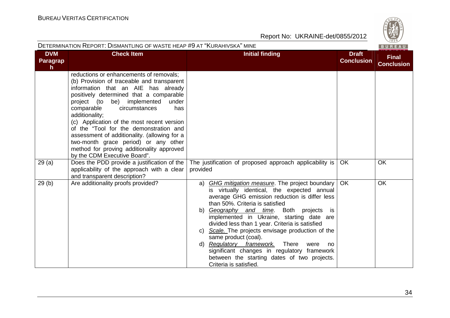

| DETERMINATION REPORT: DISMANTLING OF WASTE HEAP #9 AT "KURAHIVSKA" MINE |                                                                                                                                                                                                                                                                                                                                                                                                                                                                                                                                         |                                                                                                                                                                                                                                                                                                                                                                                                                                                                                                                                                                                                        |                                   | $\vee$ 829/<br>BUREAU             |
|-------------------------------------------------------------------------|-----------------------------------------------------------------------------------------------------------------------------------------------------------------------------------------------------------------------------------------------------------------------------------------------------------------------------------------------------------------------------------------------------------------------------------------------------------------------------------------------------------------------------------------|--------------------------------------------------------------------------------------------------------------------------------------------------------------------------------------------------------------------------------------------------------------------------------------------------------------------------------------------------------------------------------------------------------------------------------------------------------------------------------------------------------------------------------------------------------------------------------------------------------|-----------------------------------|-----------------------------------|
| <b>DVM</b><br>Paragrap<br>h                                             | <b>Check Item</b>                                                                                                                                                                                                                                                                                                                                                                                                                                                                                                                       | <b>Initial finding</b>                                                                                                                                                                                                                                                                                                                                                                                                                                                                                                                                                                                 | <b>Draft</b><br><b>Conclusion</b> | <b>Final</b><br><b>Conclusion</b> |
|                                                                         | reductions or enhancements of removals;<br>(b) Provision of traceable and transparent<br>information that an AIE has already<br>positively determined that a comparable<br>be) implemented<br>project (to<br>under<br>comparable<br>circumstances<br>has<br>additionality;<br>(c) Application of the most recent version<br>of the "Tool for the demonstration and<br>assessment of additionality. (allowing for a<br>two-month grace period) or any other<br>method for proving additionality approved<br>by the CDM Executive Board". |                                                                                                                                                                                                                                                                                                                                                                                                                                                                                                                                                                                                        |                                   |                                   |
| 29(a)                                                                   | Does the PDD provide a justification of the<br>applicability of the approach with a clear<br>and transparent description?                                                                                                                                                                                                                                                                                                                                                                                                               | The justification of proposed approach applicability is<br>provided                                                                                                                                                                                                                                                                                                                                                                                                                                                                                                                                    | <b>OK</b>                         | <b>OK</b>                         |
| 29(b)                                                                   | Are additionality proofs provided?                                                                                                                                                                                                                                                                                                                                                                                                                                                                                                      | <b>GHG mitigation measure</b> . The project boundary<br>a)<br>is virtually identical, the expected annual<br>average GHG emission reduction is differ less<br>than 50%. Criteria is satisfied<br>Geography and time. Both projects is<br>b)<br>implemented in Ukraine, starting date are<br>divided less than 1 year. Criteria is satisfied<br>c) Scale. The projects envisage production of the<br>same product (coal).<br>Regulatory framework.<br>There<br>d)<br>were<br>no<br>significant changes in regulatory framework<br>between the starting dates of two projects.<br>Criteria is satisfied. | <b>OK</b>                         | <b>OK</b>                         |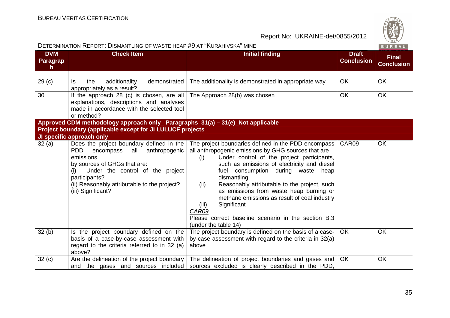

|                                               | DETERMINATION REPORT: DISMANTLING OF WASTE HEAP #9 AT "KURAHIVSKA" MINE                                                                                                                                                                                           |                                                                                                                                                                                                                                                                                                                                                                                                                                                                                                                                           |                                   | BUREAU                            |
|-----------------------------------------------|-------------------------------------------------------------------------------------------------------------------------------------------------------------------------------------------------------------------------------------------------------------------|-------------------------------------------------------------------------------------------------------------------------------------------------------------------------------------------------------------------------------------------------------------------------------------------------------------------------------------------------------------------------------------------------------------------------------------------------------------------------------------------------------------------------------------------|-----------------------------------|-----------------------------------|
| <b>DVM</b><br><b>Paragrap</b><br>$\mathsf{h}$ | <b>Check Item</b>                                                                                                                                                                                                                                                 | <b>Initial finding</b>                                                                                                                                                                                                                                                                                                                                                                                                                                                                                                                    | <b>Draft</b><br><b>Conclusion</b> | <b>Final</b><br><b>Conclusion</b> |
|                                               |                                                                                                                                                                                                                                                                   |                                                                                                                                                                                                                                                                                                                                                                                                                                                                                                                                           |                                   |                                   |
| 29 <sub>(c)</sub>                             | the<br>additionality<br>demonstrated<br>ls.<br>appropriately as a result?                                                                                                                                                                                         | The additionality is demonstrated in appropriate way                                                                                                                                                                                                                                                                                                                                                                                                                                                                                      | <b>OK</b>                         | <b>OK</b>                         |
| 30                                            | If the approach 28 (c) is chosen, are all<br>explanations, descriptions and analyses<br>made in accordance with the selected tool<br>or method?                                                                                                                   | The Approach 28(b) was chosen                                                                                                                                                                                                                                                                                                                                                                                                                                                                                                             | <b>OK</b>                         | <b>OK</b>                         |
|                                               | Approved CDM methodology approach only_ Paragraphs 31(a) - 31(e)_Not applicable                                                                                                                                                                                   |                                                                                                                                                                                                                                                                                                                                                                                                                                                                                                                                           |                                   |                                   |
|                                               | Project boundary (applicable except for JI LULUCF projects                                                                                                                                                                                                        |                                                                                                                                                                                                                                                                                                                                                                                                                                                                                                                                           |                                   |                                   |
|                                               | JI specific approach only                                                                                                                                                                                                                                         |                                                                                                                                                                                                                                                                                                                                                                                                                                                                                                                                           |                                   |                                   |
| 32(a)                                         | Does the project boundary defined in the<br>all anthropogenic<br>PDD.<br>encompass<br>emissions<br>by sources of GHGs that are:<br>Under the control of the project<br>(i)<br>participants?<br>(ii) Reasonably attributable to the project?<br>(iii) Significant? | The project boundaries defined in the PDD encompass<br>all anthropogenic emissions by GHG sources that are<br>Under control of the project participants,<br>(i)<br>such as emissions of electricity and diesel<br>fuel consumption during waste<br>heap<br>dismantling<br>Reasonably attributable to the project, such<br>(ii)<br>as emissions from waste heap burning or<br>methane emissions as result of coal industry<br>Significant<br>(iii)<br>CAR09<br>Please correct baseline scenario in the section B.3<br>(under the table 14) | CAR09                             | OК                                |
| 32(b)                                         | Is the project boundary defined on the<br>basis of a case-by-case assessment with<br>regard to the criteria referred to in 32 (a)<br>above?                                                                                                                       | The project boundary is defined on the basis of a case-<br>by-case assessment with regard to the criteria in 32(a)<br>above                                                                                                                                                                                                                                                                                                                                                                                                               | OK.                               | <b>OK</b>                         |
| 32(c)                                         | Are the delineation of the project boundary<br>and the gases and sources included                                                                                                                                                                                 | The delineation of project boundaries and gases and<br>sources excluded is clearly described in the PDD,                                                                                                                                                                                                                                                                                                                                                                                                                                  | <b>OK</b>                         | OK                                |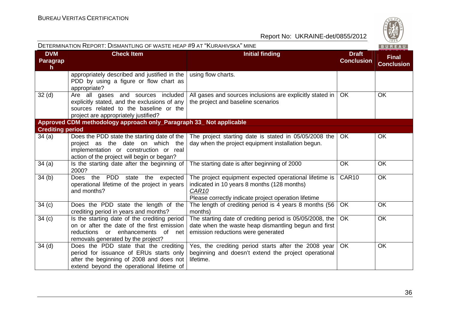

| DETERMINATION REPORT: DISMANTLING OF WASTE HEAP #9 AT "KURAHIVSKA" MINE<br>BUREAU |                                                                                                                                                                                   |                                                                                                                                                                               |                                   |                                   |
|-----------------------------------------------------------------------------------|-----------------------------------------------------------------------------------------------------------------------------------------------------------------------------------|-------------------------------------------------------------------------------------------------------------------------------------------------------------------------------|-----------------------------------|-----------------------------------|
| <b>DVM</b><br>Paragrap<br>$\mathsf{h}$                                            | <b>Check Item</b>                                                                                                                                                                 | <b>Initial finding</b>                                                                                                                                                        | <b>Draft</b><br><b>Conclusion</b> | <b>Final</b><br><b>Conclusion</b> |
|                                                                                   | appropriately described and justified in the<br>PDD by using a figure or flow chart as<br>appropriate?                                                                            | using flow charts.                                                                                                                                                            |                                   |                                   |
| 32 <sub>(d)</sub>                                                                 | Are all gases and sources included<br>explicitly stated, and the exclusions of any<br>sources related to the baseline or the<br>project are appropriately justified?              | All gases and sources inclusions are explicitly stated in<br>the project and baseline scenarios                                                                               | <b>OK</b>                         | <b>OK</b>                         |
|                                                                                   | Approved CDM methodology approach only_Paragraph 33_ Not applicable                                                                                                               |                                                                                                                                                                               |                                   |                                   |
| <b>Crediting period</b>                                                           |                                                                                                                                                                                   |                                                                                                                                                                               |                                   |                                   |
| 34(a)                                                                             | Does the PDD state the starting date of the<br>project as the date on which the<br>implementation or construction or real<br>action of the project will begin or began?           | The project starting date is stated in 05/05/2008 the<br>day when the project equipment installation begun.                                                                   | <b>OK</b>                         | <b>OK</b>                         |
| 34(a)                                                                             | Is the starting date after the beginning of<br>2000?                                                                                                                              | The starting date is after beginning of 2000                                                                                                                                  | <b>OK</b>                         | <b>OK</b>                         |
| 34(b)                                                                             | Does the PDD state the expected<br>operational lifetime of the project in years<br>and months?                                                                                    | The project equipment expected operational lifetime is<br>indicated in 10 years 8 months (128 months)<br><b>CAR10</b><br>Please correctly indicate project operation lifetime | CAR10                             | <b>OK</b>                         |
| 34(c)                                                                             | Does the PDD state the length of the<br>crediting period in years and months?                                                                                                     | The length of crediting period is 4 years 8 months (56<br>months)                                                                                                             | <b>OK</b>                         | <b>OK</b>                         |
| 34 <sub>(c)</sub>                                                                 | Is the starting date of the crediting period<br>on or after the date of the first emission<br>enhancements of net<br>reductions<br>$\alpha$<br>removals generated by the project? | The starting date of crediting period is 05/05/2008, the<br>date when the waste heap dismantling begun and first<br>emission reductions were generated                        | <b>OK</b>                         | <b>OK</b>                         |
| 34(d)                                                                             | Does the PDD state that the crediting<br>period for issuance of ERUs starts only<br>after the beginning of 2008 and does not<br>extend beyond the operational lifetime of         | Yes, the crediting period starts after the 2008 year<br>beginning and doesn't extend the project operational<br>lifetime.                                                     | <b>OK</b>                         | <b>OK</b>                         |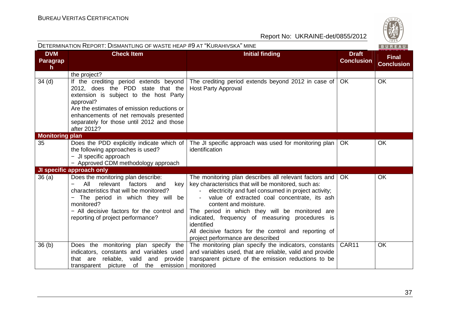| DETERMINATION REPORT: DISMANTLING OF WASTE HEAP #9 AT "KURAHIVSKA" MINE |                                                                                                                                                                                                                                                                                         |                                                                                                                                                                                                                                                                                                                                                                                                                                                                |                                   | BUREAU                            |
|-------------------------------------------------------------------------|-----------------------------------------------------------------------------------------------------------------------------------------------------------------------------------------------------------------------------------------------------------------------------------------|----------------------------------------------------------------------------------------------------------------------------------------------------------------------------------------------------------------------------------------------------------------------------------------------------------------------------------------------------------------------------------------------------------------------------------------------------------------|-----------------------------------|-----------------------------------|
| <b>DVM</b><br><b>Paragrap</b><br>$\mathsf{h}$                           | <b>Check Item</b>                                                                                                                                                                                                                                                                       | <b>Initial finding</b>                                                                                                                                                                                                                                                                                                                                                                                                                                         | <b>Draft</b><br><b>Conclusion</b> | <b>Final</b><br><b>Conclusion</b> |
|                                                                         | the project?                                                                                                                                                                                                                                                                            |                                                                                                                                                                                                                                                                                                                                                                                                                                                                |                                   |                                   |
| 34 <sub>(d)</sub>                                                       | If the crediting period extends beyond<br>2012, does the PDD state that the<br>extension is subject to the host Party<br>approval?<br>Are the estimates of emission reductions or<br>enhancements of net removals presented<br>separately for those until 2012 and those<br>after 2012? | The crediting period extends beyond 2012 in case of<br><b>Host Party Approval</b>                                                                                                                                                                                                                                                                                                                                                                              | <b>OK</b>                         | <b>OK</b>                         |
| <b>Monitoring plan</b>                                                  |                                                                                                                                                                                                                                                                                         |                                                                                                                                                                                                                                                                                                                                                                                                                                                                |                                   |                                   |
| 35                                                                      | Does the PDD explicitly indicate which of<br>the following approaches is used?<br>- JI specific approach<br>- Approved CDM methodology approach                                                                                                                                         | The JI specific approach was used for monitoring plan<br>identification                                                                                                                                                                                                                                                                                                                                                                                        | <b>OK</b>                         | <b>OK</b>                         |
|                                                                         | JI specific approach only                                                                                                                                                                                                                                                               |                                                                                                                                                                                                                                                                                                                                                                                                                                                                |                                   |                                   |
| 36(a)                                                                   | Does the monitoring plan describe:<br>All<br>relevant<br>factors<br>key<br>and<br>characteristics that will be monitored?<br>The period in which they will be<br>$\qquad \qquad -$<br>monitored?<br>- All decisive factors for the control and<br>reporting of project performance?     | The monitoring plan describes all relevant factors and<br>key characteristics that will be monitored, such as:<br>electricity and fuel consumed in project activity;<br>value of extracted coal concentrate, its ash<br>content and moisture.<br>The period in which they will be monitored are<br>indicated, frequency of measuring procedures is<br>identified<br>All decisive factors for the control and reporting of<br>project performance are described | <b>OK</b>                         | OK                                |
| 36 <sub>(b)</sub>                                                       | Does the monitoring plan specify the<br>indicators, constants and variables used<br>reliable,<br>valid<br>and<br>provide<br>that are<br>transparent picture of<br>the emission                                                                                                          | The monitoring plan specify the indicators, constants<br>and variables used, that are reliable, valid and provide<br>transparent picture of the emission reductions to be<br>monitored                                                                                                                                                                                                                                                                         | CAR11                             | <b>OK</b>                         |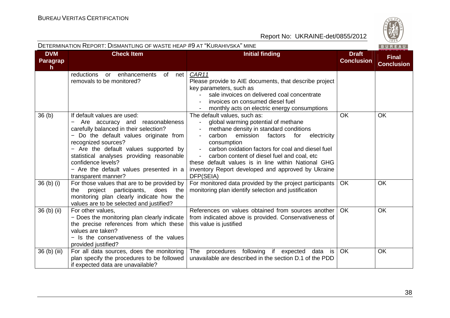

| DETERMINATION REPORT: DISMANTLING OF WASTE HEAP #9 AT "KURAHIVSKA" MINE<br>BUREAU |                                                                                                                                                                                                                                                                                                                                                         |                                                                                                                                                                                                                                                                                                                                                                                                                   |                                   |                                   |
|-----------------------------------------------------------------------------------|---------------------------------------------------------------------------------------------------------------------------------------------------------------------------------------------------------------------------------------------------------------------------------------------------------------------------------------------------------|-------------------------------------------------------------------------------------------------------------------------------------------------------------------------------------------------------------------------------------------------------------------------------------------------------------------------------------------------------------------------------------------------------------------|-----------------------------------|-----------------------------------|
| <b>DVM</b><br><b>Paragrap</b><br>$\mathsf{h}$                                     | <b>Check Item</b>                                                                                                                                                                                                                                                                                                                                       | <b>Initial finding</b>                                                                                                                                                                                                                                                                                                                                                                                            | <b>Draft</b><br><b>Conclusion</b> | <b>Final</b><br><b>Conclusion</b> |
|                                                                                   | enhancements<br>reductions<br>of<br>net<br>or<br>removals to be monitored?                                                                                                                                                                                                                                                                              | CAR11<br>Please provide to AIE documents, that describe project<br>key parameters, such as<br>sale invoices on delivered coal concentrate<br>invoices on consumed diesel fuel<br>monthly acts on electric energy consumptions                                                                                                                                                                                     |                                   |                                   |
| 36(b)                                                                             | If default values are used:<br>Are accuracy and reasonableness<br>carefully balanced in their selection?<br>- Do the default values originate from<br>recognized sources?<br>- Are the default values supported by<br>statistical analyses providing reasonable<br>confidence levels?<br>- Are the default values presented in a<br>transparent manner? | The default values, such as:<br>global warming potential of methane<br>methane density in standard conditions<br>carbon<br>emission<br>electricity<br>factors<br>for<br>consumption<br>carbon oxidation factors for coal and diesel fuel<br>carbon content of diesel fuel and coal, etc<br>these default values is in line within National GHG<br>inventory Report developed and approved by Ukraine<br>DFP(SEIA) | <b>OK</b>                         | OK                                |
| 36 (b) (i)                                                                        | For those values that are to be provided by<br>project participants,<br>does the<br>the<br>monitoring plan clearly indicate how the<br>values are to be selected and justified?                                                                                                                                                                         | For monitored data provided by the project participants<br>monitoring plan identify selection and justification                                                                                                                                                                                                                                                                                                   | <b>OK</b>                         | OK                                |
| 36 (b) (ii)                                                                       | For other values,<br>- Does the monitoring plan clearly indicate<br>the precise references from which these<br>values are taken?<br>- Is the conservativeness of the values<br>provided justified?                                                                                                                                                      | References on values obtained from sources another<br>from indicated above is provided. Conservativeness of<br>this value is justified                                                                                                                                                                                                                                                                            | <b>OK</b>                         | <b>OK</b>                         |
| 36 (b) (iii)                                                                      | For all data sources, does the monitoring<br>plan specify the procedures to be followed<br>if expected data are unavailable?                                                                                                                                                                                                                            | procedures following<br>if expected<br>data is<br>The<br>unavailable are described in the section D.1 of the PDD                                                                                                                                                                                                                                                                                                  | <b>OK</b>                         | OK                                |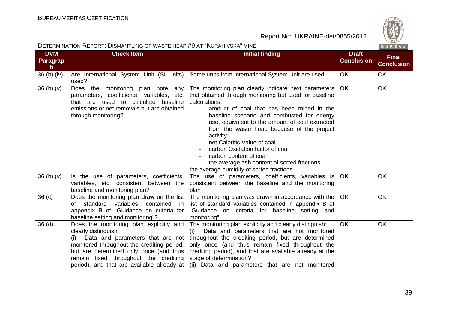

|                                        | DETERMINATION REPORT: DISMANTLING OF WASTE HEAP #9 AT "KURAHIVSKA" MINE<br>BUREAU                                                                                                                                                                                                      |                                                                                                                                                                                                                                                                                                                                                                                                                                                                                                                                |                                   |                                   |  |
|----------------------------------------|----------------------------------------------------------------------------------------------------------------------------------------------------------------------------------------------------------------------------------------------------------------------------------------|--------------------------------------------------------------------------------------------------------------------------------------------------------------------------------------------------------------------------------------------------------------------------------------------------------------------------------------------------------------------------------------------------------------------------------------------------------------------------------------------------------------------------------|-----------------------------------|-----------------------------------|--|
| <b>DVM</b><br>Paragrap<br>$\mathsf{h}$ | <b>Check Item</b>                                                                                                                                                                                                                                                                      | <b>Initial finding</b>                                                                                                                                                                                                                                                                                                                                                                                                                                                                                                         | <b>Draft</b><br><b>Conclusion</b> | <b>Final</b><br><b>Conclusion</b> |  |
| $36$ (b) (iv)                          | Are International System Unit (SI units)<br>used?                                                                                                                                                                                                                                      | Some units from International System Unit are used                                                                                                                                                                                                                                                                                                                                                                                                                                                                             | <b>OK</b>                         | <b>OK</b>                         |  |
| 36 <sub>(b)</sub> <sub>(v)</sub>       | Does the monitoring plan note<br>any<br>parameters, coefficients, variables, etc.<br>that are used to calculate baseline<br>emissions or net removals but are obtained<br>through monitoring?                                                                                          | The monitoring plan clearly indicate next parameters<br>that obtained through monitoring but used for baseline<br>calculations:<br>amount of coal that has been mined in the<br>baseline scenario and combusted for energy<br>use, equivalent to the amount of coal extracted<br>from the waste heap because of the project<br>activity<br>net Calorific Value of coal<br>carbon Oxidation factor of coal<br>carbon content of coal<br>the average ash content of sorted fractions<br>the average humidity of sorted fractions | <b>OK</b>                         | <b>OK</b>                         |  |
| 36 <sub>(b)</sub> <sub>(v)</sub>       | Is the use of parameters, coefficients,<br>variables, etc. consistent between the<br>baseline and monitoring plan?                                                                                                                                                                     | The use of parameters, coefficients, variables is<br>consistent between the baseline and the monitoring<br>plan                                                                                                                                                                                                                                                                                                                                                                                                                | <b>OK</b>                         | OK                                |  |
| 36 <sub>(c)</sub>                      | Does the monitoring plan draw on the list<br>variables<br>of standard<br>contained<br>in<br>appendix B of "Guidance on criteria for<br>baseline setting and monitoring"?                                                                                                               | The monitoring plan was drawn in accordance with the<br>list of standard variables contained in appendix B of<br>"Guidance on criteria for baseline setting and<br>monitoring"                                                                                                                                                                                                                                                                                                                                                 | OK                                | <b>OK</b>                         |  |
| 36 <sub>(d)</sub>                      | Does the monitoring plan explicitly and<br>clearly distinguish:<br>(i) Data and parameters that are not<br>monitored throughout the crediting period,<br>but are determined only once (and thus<br>remain fixed throughout the crediting<br>period), and that are available already at | The monitoring plan explicitly and clearly distinguish:<br>Data and parameters that are not monitored<br>(i)<br>throughout the crediting period, but are determined<br>only once (and thus remain fixed throughout the<br>crediting period), and that are available already at the<br>stage of determination?<br>(ii) Data and parameters that are not monitored                                                                                                                                                               | <b>OK</b>                         | OK                                |  |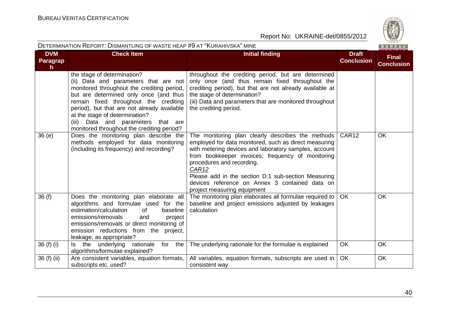

|                             | DETERMINATION REPORT: DISMANTLING OF WASTE HEAP #9 AT "KURAHIVSKA" MINE<br>BUREAU                                                                                                                                                                                                                                                                                             |                                                                                                                                                                                                                                                                                                                                                                                                        |                                   |                                   |  |
|-----------------------------|-------------------------------------------------------------------------------------------------------------------------------------------------------------------------------------------------------------------------------------------------------------------------------------------------------------------------------------------------------------------------------|--------------------------------------------------------------------------------------------------------------------------------------------------------------------------------------------------------------------------------------------------------------------------------------------------------------------------------------------------------------------------------------------------------|-----------------------------------|-----------------------------------|--|
| <b>DVM</b><br>Paragrap<br>h | <b>Check Item</b>                                                                                                                                                                                                                                                                                                                                                             | <b>Initial finding</b>                                                                                                                                                                                                                                                                                                                                                                                 | <b>Draft</b><br><b>Conclusion</b> | <b>Final</b><br><b>Conclusion</b> |  |
|                             | the stage of determination?<br>(ii) Data and parameters that are not<br>monitored throughout the crediting period,<br>but are determined only once (and thus<br>remain fixed throughout the crediting<br>period), but that are not already available<br>at the stage of determination?<br>Data and parameters that are<br>(iii)<br>monitored throughout the crediting period? | throughout the crediting period, but are determined<br>only once (and thus remain fixed throughout the<br>crediting period), but that are not already available at<br>the stage of determination?<br>(iii) Data and parameters that are monitored throughout<br>the crediting period.                                                                                                                  |                                   |                                   |  |
| 36(e)                       | Does the monitoring plan describe the<br>methods employed for data monitoring<br>(including its frequency) and recording?                                                                                                                                                                                                                                                     | The monitoring plan clearly describes the methods<br>employed for data monitored, such as direct measuring<br>with metering devices and laboratory samples, account<br>from bookkeeper invoices; frequency of monitoring<br>procedures and recording.<br>CAR12<br>Please add in the section D.1 sub-section Measuring<br>devices reference on Annex 3 contained data on<br>project measuring equipment | CAR <sub>12</sub>                 | <b>OK</b>                         |  |
| 36(f)                       | Does the monitoring plan elaborate all<br>algorithms and formulae used for the<br>estimation/calculation<br>baseline<br>0f<br>emissions/removals<br>project<br>and<br>emissions/removals or direct monitoring of<br>emission reductions from the project,<br>leakage, as appropriate?                                                                                         | The monitoring plan elaborates all formulae required to<br>baseline and project emissions adjusted by leakages<br>calculation                                                                                                                                                                                                                                                                          | <b>OK</b>                         | <b>OK</b>                         |  |
| 36 (f) (i)                  | Is the underlying rationale<br>for<br>the<br>algorithms/formulae explained?                                                                                                                                                                                                                                                                                                   | The underlying rationale for the formulae is explained                                                                                                                                                                                                                                                                                                                                                 | OK                                | OK                                |  |
| 36 (f) (ii)                 | Are consistent variables, equation formats,<br>subscripts etc. used?                                                                                                                                                                                                                                                                                                          | All variables, equation formats, subscripts are used in<br>consistent way                                                                                                                                                                                                                                                                                                                              | <b>OK</b>                         | OK                                |  |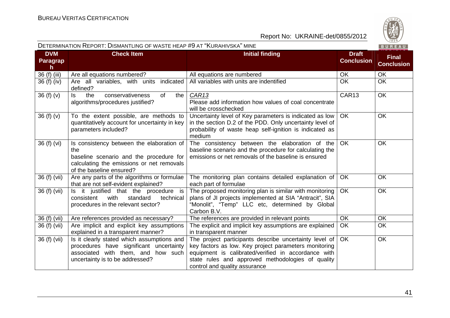

|                             | DETERMINATION REPORT. DISMANTLING OF WASTE HEAP #9 AT INURAHIVSKA IMINE<br>  B U R E A U                                                                             |                                                                                                                                                                                                                                                              |                                   |                                   |  |
|-----------------------------|----------------------------------------------------------------------------------------------------------------------------------------------------------------------|--------------------------------------------------------------------------------------------------------------------------------------------------------------------------------------------------------------------------------------------------------------|-----------------------------------|-----------------------------------|--|
| <b>DVM</b><br>Paragrap<br>h | <b>Check Item</b>                                                                                                                                                    | <b>Initial finding</b>                                                                                                                                                                                                                                       | <b>Draft</b><br><b>Conclusion</b> | <b>Final</b><br><b>Conclusion</b> |  |
| 36 (f) (iii)                | Are all equations numbered?                                                                                                                                          | All equations are numbered                                                                                                                                                                                                                                   | OK                                | OK                                |  |
| 36 (f) (iv)                 | indicated<br>Are all variables, with units<br>defined?                                                                                                               | All variables with units are indentified                                                                                                                                                                                                                     | <b>OK</b>                         | <b>OK</b>                         |  |
| 36(f)(v)                    | ls.<br>the<br>conservativeness<br>of<br>the<br>algorithms/procedures justified?                                                                                      | CAR <sub>13</sub><br>Please add information how values of coal concentrate<br>will be crosschecked                                                                                                                                                           | CAR13                             | <b>OK</b>                         |  |
| 36(f)(v)                    | To the extent possible, are methods to<br>quantitatively account for uncertainty in key<br>parameters included?                                                      | Uncertainty level of Key parameters is indicated as low<br>in the section D.2 of the PDD. Only uncertainty level of<br>probability of waste heap self-ignition is indicated as<br>medium                                                                     | <b>OK</b>                         | <b>OK</b>                         |  |
| 36 (f) (vi)                 | Is consistency between the elaboration of<br>the<br>baseline scenario and the procedure for<br>calculating the emissions or net removals<br>of the baseline ensured? | The consistency between the elaboration of the<br>baseline scenario and the procedure for calculating the<br>emissions or net removals of the baseline is ensured                                                                                            | <b>OK</b>                         | OK                                |  |
| 36 (f) (vii)                | Are any parts of the algorithms or formulae<br>that are not self-evident explained?                                                                                  | The monitoring plan contains detailed explanation of<br>each part of formulae                                                                                                                                                                                | OK                                | <b>OK</b>                         |  |
| 36 (f) (vii)                | Is it justified that the procedure is<br>with<br>consistent<br>standard<br>technical<br>procedures in the relevant sector?                                           | The proposed monitoring plan is similar with monitoring<br>plans of JI projects implemented at SIA "Antracit", SIA<br>"Monolit", "Temp" LLC etc, determined by Global<br>Carbon B.V.                                                                         | <b>OK</b>                         | <b>OK</b>                         |  |
| 36 (f) (vii)                | Are references provided as necessary?                                                                                                                                | The references are provided in relevant points                                                                                                                                                                                                               | <b>OK</b>                         | OK                                |  |
| 36 (f) (vii)                | Are implicit and explicit key assumptions<br>explained in a transparent manner?                                                                                      | The explicit and implicit key assumptions are explained<br>in transparent manner                                                                                                                                                                             | OK                                | OK                                |  |
| 36 (f) (vii)                | Is it clearly stated which assumptions and<br>procedures have significant uncertainty<br>associated with them, and how such<br>uncertainty is to be addressed?       | The project participants describe uncertainty level of<br>key factors as low. Key project parameters monitoring<br>equipment is calibrated/verified in accordance with<br>state rules and approved methodologies of quality<br>control and quality assurance | <b>OK</b>                         | <b>OK</b>                         |  |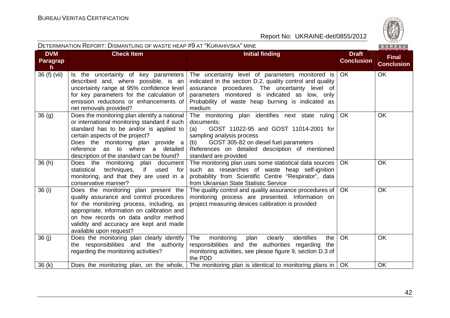

|                                        | DETERMINATION REPORT: DISMANTLING OF WASTE HEAP #9 AT "KURAHIVSKA" MINE<br>BUREAU                                                                                                                                                                                                                    |                                                                                                                                                                                                                                                                                  |                                   |                                   |  |
|----------------------------------------|------------------------------------------------------------------------------------------------------------------------------------------------------------------------------------------------------------------------------------------------------------------------------------------------------|----------------------------------------------------------------------------------------------------------------------------------------------------------------------------------------------------------------------------------------------------------------------------------|-----------------------------------|-----------------------------------|--|
| <b>DVM</b><br>Paragrap<br>$\mathsf{h}$ | <b>Check Item</b>                                                                                                                                                                                                                                                                                    | <b>Initial finding</b>                                                                                                                                                                                                                                                           | <b>Draft</b><br><b>Conclusion</b> | <b>Final</b><br><b>Conclusion</b> |  |
| 36 (f) (vii)                           | Is the uncertainty of key parameters<br>described and, where possible, is an<br>uncertainty range at 95% confidence level<br>for key parameters for the calculation of<br>emission reductions or enhancements of<br>net removals provided?                                                           | The uncertainty level of parameters monitored is<br>indicated in the section D.2, quality control and quality<br>assurance procedures. The uncertainty level of<br>parameters monitored is indicated as low, only<br>Probability of waste heap burning is indicated as<br>medium | <b>OK</b>                         | <b>OK</b>                         |  |
| 36(9)                                  | Does the monitoring plan identify a national<br>or international monitoring standard if such<br>standard has to be and/or is applied to<br>certain aspects of the project?<br>Does the monitoring plan provide a<br>as to where a detailed<br>reference<br>description of the standard can be found? | The monitoring plan identifies next state ruling<br>documents:<br>GOST 11022-95 and GOST 11014-2001 for<br>(a)<br>sampling analysis process<br>(b)<br>GOST 305-82 on diesel fuel parameters<br>References on detailed description of mentioned<br>standard are provided          | OK                                | OK                                |  |
| 36(h)                                  | Does the monitoring plan document<br>techniques, if<br>statistical<br>used<br>for<br>monitoring, and that they are used in a<br>conservative manner?                                                                                                                                                 | The monitoring plan uses some statistical data sources<br>such as researches of waste heap self-ignition<br>probability from Scientific Centre "Respirator", data<br>from Ukrainian State Statistic Service                                                                      | <b>OK</b>                         | <b>OK</b>                         |  |
| 36 (i)                                 | Does the monitoring plan present the<br>quality assurance and control procedures<br>for the monitoring process, including, as<br>appropriate, information on calibration and<br>on how records on data and/or method<br>validity and accuracy are kept and made<br>available upon request?           | The quality control and quality assurance procedures of<br>monitoring process are presented. Information on<br>project measuring devices calibration is provided                                                                                                                 | <b>OK</b>                         | OK                                |  |
| 36(j)                                  | Does the monitoring plan clearly identify<br>the responsibilities and the authority<br>regarding the monitoring activities?                                                                                                                                                                          | identifies<br><b>The</b><br>monitoring<br>plan<br>clearly<br>the<br>responsibilities and the authorities regarding<br>the<br>monitoring activities, see please figure 9, section D.3 of<br>the PDD                                                                               | OK                                | <b>OK</b>                         |  |
| 36(k)                                  | Does the monitoring plan, on the whole,                                                                                                                                                                                                                                                              | The monitoring plan is identical to monitoring plans in                                                                                                                                                                                                                          | OK                                | OK                                |  |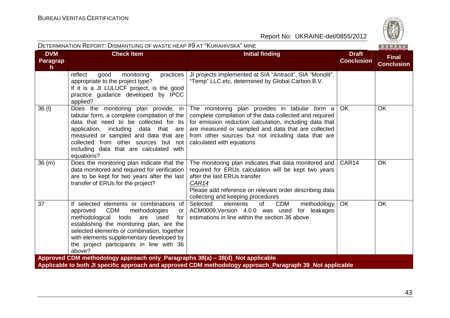|                              | DETERMINATION REPORT: DISMANTLING OF WASTE HEAP #9 AT "KURAHIVSKA" MINE                                                                                                                                                                                                                                                                             |                                                                                                                                                                                                                                                                                                                |                                   | BUREAU                            |
|------------------------------|-----------------------------------------------------------------------------------------------------------------------------------------------------------------------------------------------------------------------------------------------------------------------------------------------------------------------------------------------------|----------------------------------------------------------------------------------------------------------------------------------------------------------------------------------------------------------------------------------------------------------------------------------------------------------------|-----------------------------------|-----------------------------------|
| <b>DVM</b><br>Paragrap<br>h. | <b>Check Item</b>                                                                                                                                                                                                                                                                                                                                   | <b>Initial finding</b>                                                                                                                                                                                                                                                                                         | <b>Draft</b><br><b>Conclusion</b> | <b>Final</b><br><b>Conclusion</b> |
|                              | reflect<br>good<br>monitoring<br>practices<br>appropriate to the project type?<br>If it is a JI LULUCF project, is the good<br>practice guidance developed by IPCC<br>applied?                                                                                                                                                                      | JI projects implemented at SIA "Antracit", SIA "Monolit",<br>"Temp" LLC etc, determined by Global Carbon B.V.                                                                                                                                                                                                  |                                   |                                   |
| 36 (I)                       | Does the monitoring plan provide, in<br>tabular form, a complete compilation of the<br>data that need to be collected for its<br>application, including<br>data that are<br>measured or sampled and data that are<br>collected from other sources but not<br>including data that are calculated with<br>equations?                                  | The monitoring plan provides in tabular form a<br>complete compilation of the data collected and required<br>for emission reduction calculation, including data that<br>are measured or sampled and data that are collected<br>from other sources but not including data that are<br>calculated with equations | <b>OK</b>                         | OK                                |
| 36(m)                        | Does the monitoring plan indicate that the<br>data monitored and required for verification<br>are to be kept for two years after the last<br>transfer of ERUs for the project?                                                                                                                                                                      | The monitoring plan indicates that data monitored and<br>required for ERUs calculation will be kept two years<br>after the last ERUs transfer<br>CAR14<br>Please add reference on relevant order describing data<br>collecting and keeping procedures                                                          | CAR14                             | OK                                |
| 37                           | If selected elements or combinations of<br><b>CDM</b><br>methodologies<br>approved<br>or <sub>l</sub><br>methodological<br>tools<br>are<br>used<br>for<br>establishing the monitoring plan, are the<br>selected elements or combination, together<br>with elements supplementary developed by<br>the project participants in line with 36<br>above? | Selected<br><b>CDM</b><br>of<br>elements<br>methodology<br>ACM0009, Version 4.0.0 was used for leakages<br>estimations in line within the section 36 above                                                                                                                                                     | OK                                | <b>OK</b>                         |
|                              | Approved CDM methodology approach only_Paragraphs 38(a) - 38(d)_Not applicable                                                                                                                                                                                                                                                                      | Applicable to both JI specific approach and approved CDM methodology approach_Paragraph 39_Not applicable                                                                                                                                                                                                      |                                   |                                   |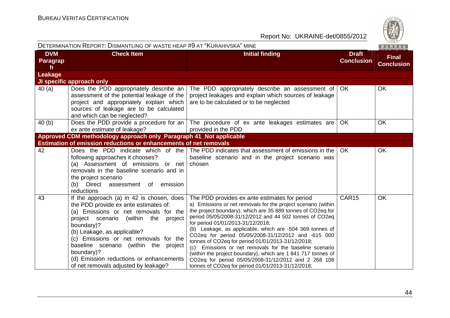

| DETERMINATION REPORT: DISMANTLING OF WASTE HEAP #9 AT "KURAHIVSKA" MINE |                                                                                                                                                                                                                                                                                                                                                                                                        |                                                                                                                                                                                                                                                                                                                                                                                                                                                                                                                                                                                                                                                                                               |                                   | BUREAU                            |
|-------------------------------------------------------------------------|--------------------------------------------------------------------------------------------------------------------------------------------------------------------------------------------------------------------------------------------------------------------------------------------------------------------------------------------------------------------------------------------------------|-----------------------------------------------------------------------------------------------------------------------------------------------------------------------------------------------------------------------------------------------------------------------------------------------------------------------------------------------------------------------------------------------------------------------------------------------------------------------------------------------------------------------------------------------------------------------------------------------------------------------------------------------------------------------------------------------|-----------------------------------|-----------------------------------|
| <b>DVM</b><br><b>Paragrap</b><br>h.                                     | <b>Check Item</b>                                                                                                                                                                                                                                                                                                                                                                                      | <b>Initial finding</b>                                                                                                                                                                                                                                                                                                                                                                                                                                                                                                                                                                                                                                                                        | <b>Draft</b><br><b>Conclusion</b> | <b>Final</b><br><b>Conclusion</b> |
| Leakage                                                                 |                                                                                                                                                                                                                                                                                                                                                                                                        |                                                                                                                                                                                                                                                                                                                                                                                                                                                                                                                                                                                                                                                                                               |                                   |                                   |
|                                                                         | JI specific approach only                                                                                                                                                                                                                                                                                                                                                                              |                                                                                                                                                                                                                                                                                                                                                                                                                                                                                                                                                                                                                                                                                               |                                   |                                   |
| 40 (a)                                                                  | Does the PDD appropriately describe an<br>assessment of the potential leakage of the<br>project and appropriately explain which<br>sources of leakage are to be calculated<br>and which can be neglected?                                                                                                                                                                                              | The PDD appropriately describe an assessment of<br>project leakages and explain which sources of leakage<br>are to be calculated or to be neglected                                                                                                                                                                                                                                                                                                                                                                                                                                                                                                                                           | OK.                               | OK                                |
| 40 (b)                                                                  | ex ante estimate of leakage?                                                                                                                                                                                                                                                                                                                                                                           | Does the PDD provide a procedure for an $\vert$ The procedure of ex ante leakages estimates are $\vert$<br>provided in the PDD                                                                                                                                                                                                                                                                                                                                                                                                                                                                                                                                                                | <b>OK</b>                         | <b>OK</b>                         |
|                                                                         | Approved CDM methodology approach only_Paragraph 41_Not applicable                                                                                                                                                                                                                                                                                                                                     |                                                                                                                                                                                                                                                                                                                                                                                                                                                                                                                                                                                                                                                                                               |                                   |                                   |
|                                                                         | <b>Estimation of emission reductions or enhancements of net removals</b>                                                                                                                                                                                                                                                                                                                               |                                                                                                                                                                                                                                                                                                                                                                                                                                                                                                                                                                                                                                                                                               |                                   |                                   |
| 42                                                                      | following approaches it chooses?<br>(a) Assessment of emissions or net<br>removals in the baseline scenario and in<br>the project scenario<br>(b) Direct assessment of emission<br>reductions                                                                                                                                                                                                          | Does the PDD indicate which of the The PDD indicates that assessment of emissions in the<br>baseline scenario and in the project scenario was<br>chosen                                                                                                                                                                                                                                                                                                                                                                                                                                                                                                                                       | OK.                               | <b>OK</b>                         |
| 43                                                                      | If the approach (a) in 42 is chosen, does<br>the PDD provide ex ante estimates of:<br>(a) Emissions or net removals for the<br>project scenario (within the<br>project<br>boundary)?<br>(b) Leakage, as applicable?<br>(c) Emissions or net removals for the<br>baseline scenario (within the project<br>boundary)?<br>(d) Emission reductions or enhancements<br>of net removals adjusted by leakage? | The PDD provides ex ante estimates for period<br>a) Emissions or net removals for the project scenario (within<br>the project boundary), which are 35 889 tonnes of CO2eq for<br>period 05/05/2008-31/12/2012 and 44 502 tonnes of CO2eq<br>for period 01/01/2013-31/12/2018;<br>(b) Leakage, as applicable, which are -504 369 tonnes of<br>CO2eq for period 05/05/2008-31/12/2012 and -615 000<br>tonnes of CO2eq for period 01/01/2013-31/12/2018;<br>(c) Emissions or net removals for the baseline scenario<br>(within the project boundary), which are 1 841 717 tonnes of<br>CO2eq for period 05/05/2008-31/12/2012 and 2 268 108<br>tonnes of CO2eq for period 01/01/2013-31/12/2018; | CAR15                             | OK                                |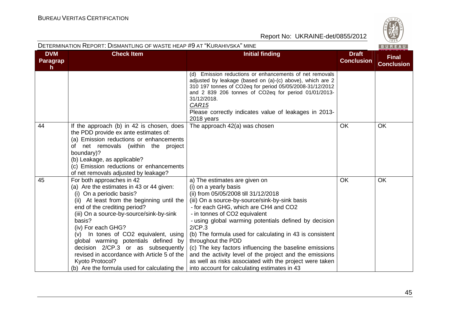

| DETERMINATION REPORT: DISMANTLING OF WASTE HEAP #9 AT "KURAHIVSKA" MINE<br>BUREAU |                                                                                                                                                                                                                                                                                                                                                                                                                                                                                                      |                                                                                                                                                                                                                                                                                                                                                                                                                                                                                                                                                                                                                 |                                   |                                   |
|-----------------------------------------------------------------------------------|------------------------------------------------------------------------------------------------------------------------------------------------------------------------------------------------------------------------------------------------------------------------------------------------------------------------------------------------------------------------------------------------------------------------------------------------------------------------------------------------------|-----------------------------------------------------------------------------------------------------------------------------------------------------------------------------------------------------------------------------------------------------------------------------------------------------------------------------------------------------------------------------------------------------------------------------------------------------------------------------------------------------------------------------------------------------------------------------------------------------------------|-----------------------------------|-----------------------------------|
| <b>DVM</b><br>Paragrap<br>h                                                       | <b>Check Item</b>                                                                                                                                                                                                                                                                                                                                                                                                                                                                                    | <b>Initial finding</b>                                                                                                                                                                                                                                                                                                                                                                                                                                                                                                                                                                                          | <b>Draft</b><br><b>Conclusion</b> | <b>Final</b><br><b>Conclusion</b> |
|                                                                                   |                                                                                                                                                                                                                                                                                                                                                                                                                                                                                                      | Emission reductions or enhancements of net removals<br>(d)<br>adjusted by leakage (based on (a)-(c) above), which are 2<br>310 197 tonnes of CO2eq for period 05/05/2008-31/12/2012<br>and 2 839 206 tonnes of CO2eq for period 01/01/2013-<br>31/12/2018.<br>CAR <sub>15</sub><br>Please correctly indicates value of leakages in 2013-<br>2018 years                                                                                                                                                                                                                                                          |                                   |                                   |
| 44                                                                                | If the approach (b) in 42 is chosen, does<br>the PDD provide ex ante estimates of:<br>(a) Emission reductions or enhancements<br>of net removals (within the project<br>boundary)?<br>(b) Leakage, as applicable?<br>(c) Emission reductions or enhancements<br>of net removals adjusted by leakage?                                                                                                                                                                                                 | The approach 42(a) was chosen                                                                                                                                                                                                                                                                                                                                                                                                                                                                                                                                                                                   | <b>OK</b>                         | <b>OK</b>                         |
| 45                                                                                | For both approaches in 42<br>(a) Are the estimates in 43 or 44 given:<br>(i) On a periodic basis?<br>(ii) At least from the beginning until the<br>end of the crediting period?<br>(iii) On a source-by-source/sink-by-sink<br>basis?<br>(iv) For each GHG?<br>(v) In tones of CO2 equivalent, using<br>global warming potentials defined by<br>decision 2/CP.3 or as subsequently<br>revised in accordance with Article 5 of the<br>Kyoto Protocol?<br>(b) Are the formula used for calculating the | a) The estimates are given on<br>(i) on a yearly basis<br>(ii) from 05/05/2008 till 31/12/2018<br>(iii) On a source-by-source/sink-by-sink basis<br>- for each GHG, which are CH4 and CO2<br>- in tonnes of CO2 equivalent<br>- using global warming potentials defined by decision<br>2/CP.3<br>(b) The formula used for calculating in 43 is consistent<br>throughout the PDD<br>(c) The key factors influencing the baseline emissions<br>and the activity level of the project and the emissions<br>as well as risks associated with the project were taken<br>into account for calculating estimates in 43 | <b>OK</b>                         | OK                                |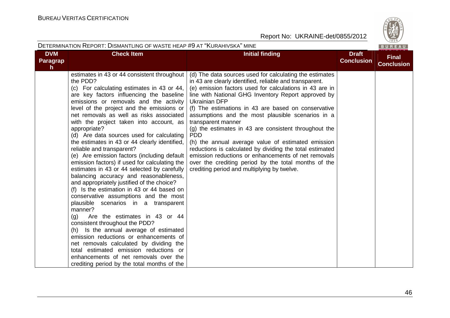

|                                              | DETERMINATION REPORT: DISMANTLING OF WASTE HEAP #9 AT "KURAHIVSKA" MINE                                                                                                                                                                                                                                                                                                                                                                                                                                                                                                                                                                                                                                                                                                                                                                                                                                                                                                                                                                                                                                                                                                                                   |                                                                                                                                                                                                                                                                                                                                                                                                                                                                                                                                                                                                                                                                                                                                                       |                                   | BUREAU                            |
|----------------------------------------------|-----------------------------------------------------------------------------------------------------------------------------------------------------------------------------------------------------------------------------------------------------------------------------------------------------------------------------------------------------------------------------------------------------------------------------------------------------------------------------------------------------------------------------------------------------------------------------------------------------------------------------------------------------------------------------------------------------------------------------------------------------------------------------------------------------------------------------------------------------------------------------------------------------------------------------------------------------------------------------------------------------------------------------------------------------------------------------------------------------------------------------------------------------------------------------------------------------------|-------------------------------------------------------------------------------------------------------------------------------------------------------------------------------------------------------------------------------------------------------------------------------------------------------------------------------------------------------------------------------------------------------------------------------------------------------------------------------------------------------------------------------------------------------------------------------------------------------------------------------------------------------------------------------------------------------------------------------------------------------|-----------------------------------|-----------------------------------|
| <b>DVM</b><br><b>Paragrap</b><br>$\mathbf h$ | <b>Check Item</b>                                                                                                                                                                                                                                                                                                                                                                                                                                                                                                                                                                                                                                                                                                                                                                                                                                                                                                                                                                                                                                                                                                                                                                                         | <b>Initial finding</b>                                                                                                                                                                                                                                                                                                                                                                                                                                                                                                                                                                                                                                                                                                                                | <b>Draft</b><br><b>Conclusion</b> | <b>Final</b><br><b>Conclusion</b> |
|                                              | estimates in 43 or 44 consistent throughout<br>the PDD?<br>(c) For calculating estimates in 43 or 44,<br>are key factors influencing the baseline<br>emissions or removals and the activity<br>level of the project and the emissions or<br>net removals as well as risks associated<br>with the project taken into account, as<br>appropriate?<br>(d) Are data sources used for calculating<br>the estimates in 43 or 44 clearly identified,<br>reliable and transparent?<br>(e) Are emission factors (including default<br>emission factors) if used for calculating the<br>estimates in 43 or 44 selected by carefully<br>balancing accuracy and reasonableness,<br>and appropriately justified of the choice?<br>(f) Is the estimation in 43 or 44 based on<br>conservative assumptions and the most<br>plausible scenarios in a transparent<br>manner?<br>(q)<br>Are the estimates in 43 or 44<br>consistent throughout the PDD?<br>Is the annual average of estimated<br>(h)<br>emission reductions or enhancements of<br>net removals calculated by dividing the<br>total estimated emission reductions or<br>enhancements of net removals over the<br>crediting period by the total months of the | (d) The data sources used for calculating the estimates<br>in 43 are clearly identified, reliable and transparent.<br>(e) emission factors used for calculations in 43 are in<br>line with National GHG Inventory Report approved by<br><b>Ukrainian DFP</b><br>(f) The estimations in 43 are based on conservative<br>assumptions and the most plausible scenarios in a<br>transparent manner<br>(g) the estimates in 43 are consistent throughout the<br><b>PDD</b><br>(h) the annual average value of estimated emission<br>reductions is calculated by dividing the total estimated<br>emission reductions or enhancements of net removals<br>over the crediting period by the total months of the<br>crediting period and multiplying by twelve. |                                   |                                   |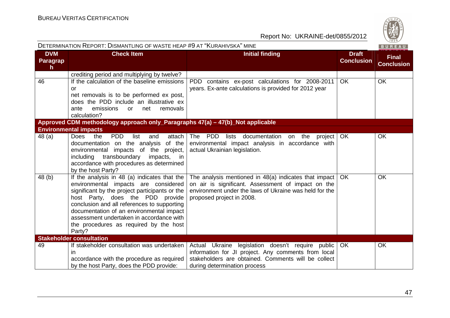| <b>DETERMINATION REPORT: DISMANTLING OF WASTE HEAP #9 AT "KURAHIVSKA" MINE</b><br>BUREAU |                                                                                                                                                                                                                                                                                                                                                                       |                                                                                                                                                                                                    |                                   |                                   |  |  |
|------------------------------------------------------------------------------------------|-----------------------------------------------------------------------------------------------------------------------------------------------------------------------------------------------------------------------------------------------------------------------------------------------------------------------------------------------------------------------|----------------------------------------------------------------------------------------------------------------------------------------------------------------------------------------------------|-----------------------------------|-----------------------------------|--|--|
| <b>DVM</b><br><b>Paragrap</b><br>h                                                       | <b>Check Item</b>                                                                                                                                                                                                                                                                                                                                                     | <b>Initial finding</b>                                                                                                                                                                             | <b>Draft</b><br><b>Conclusion</b> | <b>Final</b><br><b>Conclusion</b> |  |  |
|                                                                                          | crediting period and multiplying by twelve?                                                                                                                                                                                                                                                                                                                           |                                                                                                                                                                                                    |                                   |                                   |  |  |
| 46                                                                                       | If the calculation of the baseline emissions<br>or<br>net removals is to be performed ex post,<br>does the PDD include an illustrative ex<br>emissions<br>removals<br>ante<br>or<br>net<br>calculation?                                                                                                                                                               | PDD contains ex-post calculations for 2008-2011<br>years. Ex-ante calculations is provided for 2012 year                                                                                           | OK.                               | <b>OK</b>                         |  |  |
|                                                                                          | Approved CDM methodology approach only_Paragraphs 47(a) - 47(b)_Not applicable                                                                                                                                                                                                                                                                                        |                                                                                                                                                                                                    |                                   |                                   |  |  |
|                                                                                          | <b>Environmental impacts</b>                                                                                                                                                                                                                                                                                                                                          |                                                                                                                                                                                                    |                                   |                                   |  |  |
| 48(a)                                                                                    | <b>PDD</b><br><b>Does</b><br>the<br>list<br>attach<br>and<br>documentation on the analysis of the<br>environmental impacts of the project,<br>transboundary<br>including<br>impacts, in<br>accordance with procedures as determined<br>by the host Party?                                                                                                             | The PDD lists documentation on the project<br>environmental impact analysis in accordance with<br>actual Ukrainian legislation.                                                                    | OK.                               | OK                                |  |  |
| 48 (b)                                                                                   | If the analysis in 48 (a) indicates that the<br>environmental impacts are considered<br>significant by the project participants or the<br>host Party, does the PDD provide<br>conclusion and all references to supporting<br>documentation of an environmental impact<br>assessment undertaken in accordance with<br>the procedures as required by the host<br>Party? | The analysis mentioned in 48(a) indicates that impact<br>on air is significant. Assessment of impact on the<br>environment under the laws of Ukraine was held for the<br>proposed project in 2008. | <b>OK</b>                         | <b>OK</b>                         |  |  |
|                                                                                          | <b>Stakeholder consultation</b>                                                                                                                                                                                                                                                                                                                                       |                                                                                                                                                                                                    |                                   |                                   |  |  |
| 49                                                                                       | If stakeholder consultation was undertaken<br>$\mathsf{I}$<br>accordance with the procedure as required<br>by the host Party, does the PDD provide:                                                                                                                                                                                                                   | Actual Ukraine legislation doesn't require public<br>information for JI project. Any comments from local<br>stakeholders are obtained. Comments will be collect<br>during determination process    | <b>OK</b>                         | OK                                |  |  |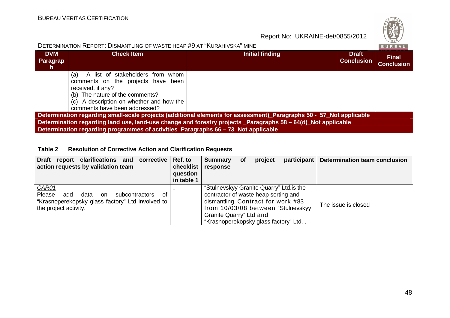

| DETERMINATION REPORT: DISMANTLING OF WASTE HEAP #9 AT "KURAHIVSKA" MINE<br>BUREAU                                                                                                                                                                                                                                          |                                                                                                                                                                                                                    |                 |                                   |                                   |  |  |  |
|----------------------------------------------------------------------------------------------------------------------------------------------------------------------------------------------------------------------------------------------------------------------------------------------------------------------------|--------------------------------------------------------------------------------------------------------------------------------------------------------------------------------------------------------------------|-----------------|-----------------------------------|-----------------------------------|--|--|--|
| <b>DVM</b><br>Paragrap<br><b>h</b>                                                                                                                                                                                                                                                                                         | <b>Check Item</b>                                                                                                                                                                                                  | Initial finding | <b>Draft</b><br><b>Conclusion</b> | <b>Final</b><br><b>Conclusion</b> |  |  |  |
|                                                                                                                                                                                                                                                                                                                            | A list of stakeholders from whom<br>(a)<br>comments on the projects have been<br>received, if any?<br>(b) The nature of the comments?<br>(c) A description on whether and how the<br>comments have been addressed? |                 |                                   |                                   |  |  |  |
| Determination regarding small-scale projects (additional elements for assessment)_Paragraphs 50 - 57_Not applicable<br>Determination regarding land use, land-use change and forestry projects _Paragraphs 58 - 64(d)_Not applicable<br>Determination regarding programmes of activities_Paragraphs 66 - 73_Not applicable |                                                                                                                                                                                                                    |                 |                                   |                                   |  |  |  |

#### **Table 2 Resolution of Corrective Action and Clarification Requests**

| report clarifications and<br><b>Draft</b><br>corrective  <br>action requests by validation team                                            | Ref. to<br>checklist<br>question<br>in table 1 | <b>Summary</b><br>response                                                                                                                                                                                                      | <b>of</b> | project | participant | Determination team conclusion |
|--------------------------------------------------------------------------------------------------------------------------------------------|------------------------------------------------|---------------------------------------------------------------------------------------------------------------------------------------------------------------------------------------------------------------------------------|-----------|---------|-------------|-------------------------------|
| CAR01<br>Please<br>add<br>data<br>subcontractors<br>of<br>on.<br>"Krasnoperekopsky glass factory" Ltd involved to<br>the project activity. |                                                | "Stulnevskyy Granite Quarry" Ltd. is the<br>contractor of waste heap sorting and<br>dismantling. Contract for work #83<br>from 10/03/08 between "Stulnevskyy<br>Granite Quarry" Ltd and<br>"Krasnoperekopsky glass factory" Ltd |           |         |             | The issue is closed           |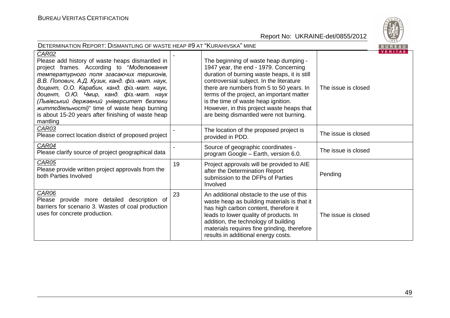

| DETERMINATION REPORT: DISMANTLING OF WASTE HEAP #9 AT "KURAHIVSKA" MINE<br>BUREAU                                                                                                                                                                                                                                                                                                                                                                                            |    |                                                                                                                                                                                                                                                                                                                                                                                                   |                     |                |  |
|------------------------------------------------------------------------------------------------------------------------------------------------------------------------------------------------------------------------------------------------------------------------------------------------------------------------------------------------------------------------------------------------------------------------------------------------------------------------------|----|---------------------------------------------------------------------------------------------------------------------------------------------------------------------------------------------------------------------------------------------------------------------------------------------------------------------------------------------------------------------------------------------------|---------------------|----------------|--|
| <b>CAR02</b><br>Please add history of waste heaps dismantled in<br>project frames. According to "Моделювання<br>температурного поля згасаючих териконів,<br>В.В. Попович, А.Д. Кузик, канд. фіз.-мат. наук,<br>доцент, О.О. Карабин, канд. фіз.-мат. наук,<br>доцент, О.Ю. Чмир, канд. фіз.-мат. наук<br>(Львівський державний університет безпеки<br><i>життедіяльності)</i> " time of waste heap burning<br>is about 15-20 years after finishing of waste heap<br>mantling |    | The beginning of waste heap dumping -<br>1947 year, the end - 1979. Concerning<br>duration of burning waste heaps, it is still<br>controversial subject. In the literature<br>there are numbers from 5 to 50 years. In<br>terms of the project, an important matter<br>is the time of waste heap ignition.<br>However, in this project waste heaps that<br>are being dismantled were not burning. | The issue is closed | <b>VERITAS</b> |  |
| CAR03<br>Please correct location district of proposed project                                                                                                                                                                                                                                                                                                                                                                                                                |    | The location of the proposed project is<br>provided in PDD.                                                                                                                                                                                                                                                                                                                                       | The issue is closed |                |  |
| CAR04<br>Please clarify source of project geographical data                                                                                                                                                                                                                                                                                                                                                                                                                  |    | Source of geographic coordinates -<br>program Google - Earth, version 6.0.                                                                                                                                                                                                                                                                                                                        | The issue is closed |                |  |
| <b>CAR05</b><br>Please provide written project approvals from the<br>both Parties Involved                                                                                                                                                                                                                                                                                                                                                                                   | 19 | Project approvals will be provided to AIE<br>after the Determination Report<br>submission to the DFPs of Parties<br>Involved                                                                                                                                                                                                                                                                      | Pending             |                |  |
| CAR06<br>Please provide more detailed description of<br>barriers for scenario 3. Wastes of coal production<br>uses for concrete production.                                                                                                                                                                                                                                                                                                                                  | 23 | An additional obstacle to the use of this<br>waste heap as building materials is that it<br>has high carbon content, therefore it<br>leads to lower quality of products. In<br>addition, the technology of building<br>materials requires fine grinding, therefore<br>results in additional energy costs.                                                                                         | The issue is closed |                |  |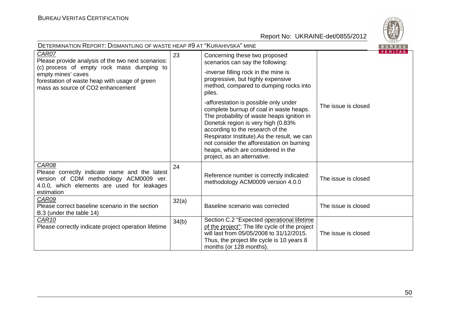

| <b>DETERMINATION REPORT: DISMANTLING OF WASTE HEAP #9 AT "KURAHIVSKA" MINE</b><br>BUREAU                                                                                                                             |       |                                                                                                                                                                                                                                                                                                                                                                           |                     |                |
|----------------------------------------------------------------------------------------------------------------------------------------------------------------------------------------------------------------------|-------|---------------------------------------------------------------------------------------------------------------------------------------------------------------------------------------------------------------------------------------------------------------------------------------------------------------------------------------------------------------------------|---------------------|----------------|
| CAR07<br>Please provide analysis of the two next scenarios:<br>(c) process of empty rock mass dumping to<br>empty mines' caves<br>forestation of waste heap with usage of green<br>mass as source of CO2 enhancement | 23    | Concerning these two proposed<br>scenarios can say the following:<br>-inverse filling rock in the mine is<br>progressive, but highly expensive<br>method, compared to dumping rocks into<br>piles.                                                                                                                                                                        |                     | <b>VERITAS</b> |
|                                                                                                                                                                                                                      |       | -afforestation is possible only under<br>complete burnup of coal in waste heaps.<br>The probability of waste heaps ignition in<br>Donetsk region is very high (0.83%<br>according to the research of the<br>Respirator Institute).As the result, we can<br>not consider the afforestation on burning<br>heaps, which are considered in the<br>project, as an alternative. | The issue is closed |                |
| CAR08<br>Please correctly indicate name and the latest<br>version of CDM methodology ACM0009 ver.<br>4.0.0, which elements are used for leakages<br>estimation                                                       | 24    | Reference number is correctly indicated:<br>methodology ACM0009 version 4.0.0                                                                                                                                                                                                                                                                                             | The issue is closed |                |
| CAR09<br>Please correct baseline scenario in the section<br>B.3 (under the table 14)                                                                                                                                 | 32(a) | Baseline scenario was corrected                                                                                                                                                                                                                                                                                                                                           | The issue is closed |                |
| CAR <sub>10</sub><br>Please correctly indicate project operation lifetime                                                                                                                                            | 34(b) | Section C.2 "Expected operational lifetime<br>of the project": The life cycle of the project<br>will last from 05/05/2008 to 31/12/2015.<br>Thus, the project life cycle is 10 years 8<br>months (or 128 months).                                                                                                                                                         | The issue is closed |                |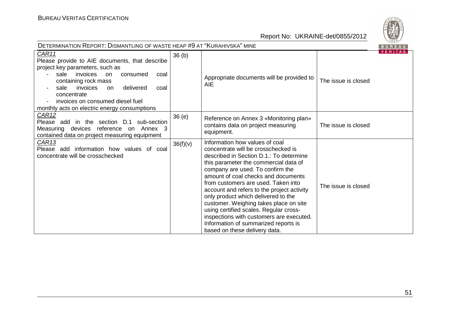

| DETERMINATION REPORT: DISMANTLING OF WASTE HEAP #9 AT "KURAHIVSKA" MINE                                                                                                                                                                                                                                                |                   |                                                                                                                                                                                                                                                                                                                                                                                                                                                                                                                                                                           |                     |                |
|------------------------------------------------------------------------------------------------------------------------------------------------------------------------------------------------------------------------------------------------------------------------------------------------------------------------|-------------------|---------------------------------------------------------------------------------------------------------------------------------------------------------------------------------------------------------------------------------------------------------------------------------------------------------------------------------------------------------------------------------------------------------------------------------------------------------------------------------------------------------------------------------------------------------------------------|---------------------|----------------|
| CAR11<br>Please provide to AIE documents, that describe<br>project key parameters, such as<br>sale invoices<br>consumed<br>on<br>coal<br>containing rock mass<br>invoices<br>delivered<br>sale<br><b>on</b><br>coal<br>concentrate<br>invoices on consumed diesel fuel<br>monthly acts on electric energy consumptions | 36 <sub>(b)</sub> | Appropriate documents will be provided to<br><b>AIE</b>                                                                                                                                                                                                                                                                                                                                                                                                                                                                                                                   | The issue is closed | <b>VERITAS</b> |
| <u>CAR12</u><br>Please add in the section D.1 sub-section<br>Measuring devices reference on Annex 3<br>contained data on project measuring equipment                                                                                                                                                                   | 36(e)             | Reference on Annex 3 «Monitoring plan»<br>contains data on project measuring<br>equipment.                                                                                                                                                                                                                                                                                                                                                                                                                                                                                | The issue is closed |                |
| CAR <sub>13</sub><br>Please add information how values of coal<br>concentrate will be crosschecked                                                                                                                                                                                                                     | 36(f)(v)          | Information how values of coal<br>concentrate will be crosschecked is<br>described in Section D.1.: To determine<br>this parameter the commercial data of<br>company are used. To confirm the<br>amount of coal checks and documents<br>from customers are used. Taken into<br>account and refers to the project activity<br>only product which delivered to the<br>customer. Weighing takes place on site<br>using certified scales. Regular cross-<br>inspections with customers are executed.<br>Information of summarized reports is<br>based on these delivery data. | The issue is closed |                |